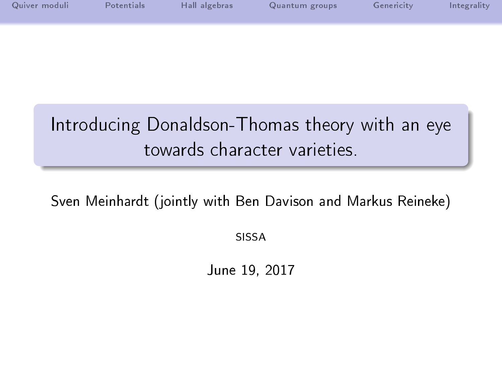| Quiver moduli | Potentials | Hall algebras | Quantum groups | Genericity | Integrality |
|---------------|------------|---------------|----------------|------------|-------------|
|               |            |               |                |            |             |
|               |            |               |                |            |             |
|               |            |               |                |            |             |

# Introducing Donaldson-Thomas theory with an eye towards character varieties.

Sven Meinhardt (jointly with Ben Davison and Markus Reineke)

SISSA

June 19, 2017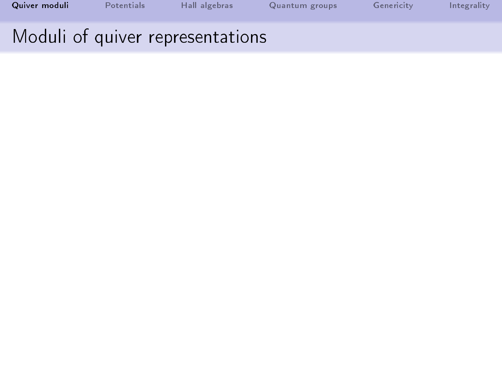<span id="page-1-0"></span>

| Quiver moduli | Potentials | Hall algebras                    | Quantum groups | Genericity | Integrality |
|---------------|------------|----------------------------------|----------------|------------|-------------|
|               |            | Moduli of quiver representations |                |            |             |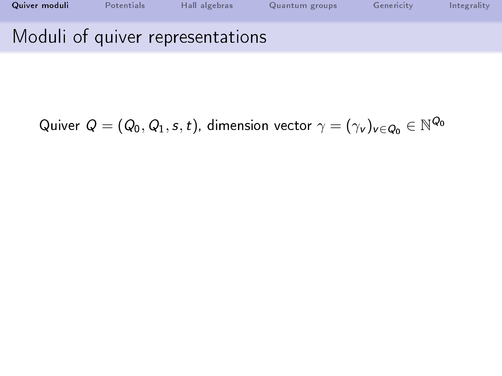| Quiver moduli | Potentials | Hall algebras                    | Quantum groups | Genericity | Integrality |
|---------------|------------|----------------------------------|----------------|------------|-------------|
|               |            | Moduli of quiver representations |                |            |             |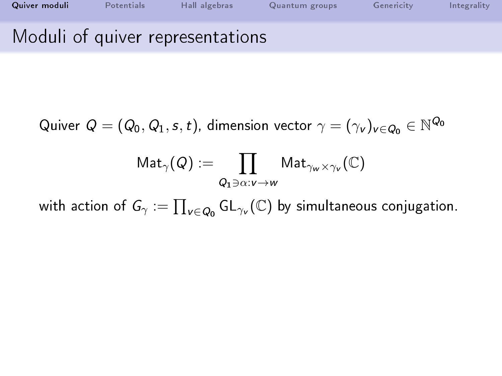| Quiver moduli | <b>Potentials</b> | Hall algebras                    | Quantum groups | Genericity | Integrality |
|---------------|-------------------|----------------------------------|----------------|------------|-------------|
|               |                   | Moduli of quiver representations |                |            |             |

$$
\mathsf{Mat}_{\gamma}(\mathsf{Q}):=\prod_{\mathsf{Q_1}\ni\alpha:\nu\to w}\mathsf{Mat}_{\gamma_w\times\gamma_v}(\mathbb{C})
$$

with action of  $\mathsf{G}_{\gamma}:=\prod_{\mathsf{v}\in \mathsf{Q}_{\mathsf{0}}}\mathsf{GL}_{\gamma_{\mathsf{v}}}(\mathbb{C})$  by simultaneous conjugation.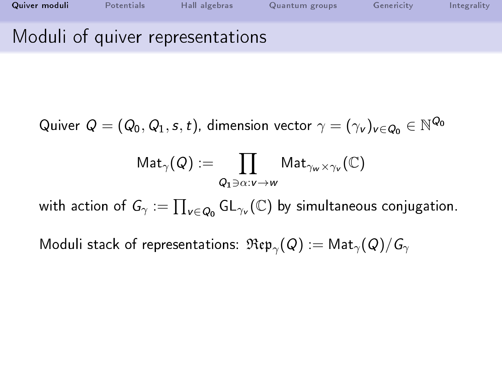| Quiver moduli | Potentials | Hall algebras                    | Quantum groups | Genericity | Integrality |
|---------------|------------|----------------------------------|----------------|------------|-------------|
|               |            | Moduli of quiver representations |                |            |             |

$$
\mathsf{Mat}_\gamma(\mathsf{Q}) := \prod_{\mathsf{Q}_1 \ni \alpha: v \to w} \mathsf{Mat}_{\gamma_w \times \gamma_v}(\mathbb{C})
$$

with action of  $\mathsf{G}_{\gamma}:=\prod_{\mathsf{v}\in \mathsf{Q}_{\mathsf{0}}}\mathsf{GL}_{\gamma_{\mathsf{v}}}(\mathbb{C})$  by simultaneous conjugation.

Moduli stack of representations:  $\mathfrak{Rep}_{\gamma} (Q) := \mathsf{Mat}_{\gamma} (Q)/\mathsf{G}_{\gamma}$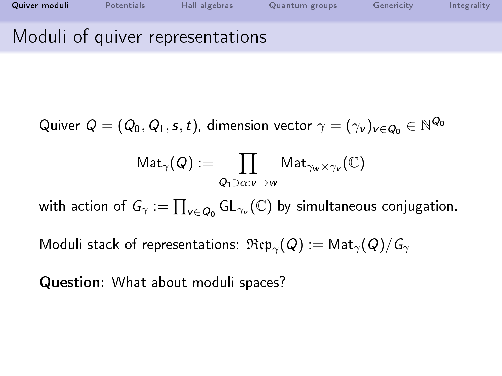| Quiver moduli | Potentials | Hall algebras                    | Quantum groups | Genericity | Integrality |
|---------------|------------|----------------------------------|----------------|------------|-------------|
|               |            | Moduli of quiver representations |                |            |             |

$$
\mathsf{Mat}_\gamma(\mathsf{Q}) := \prod_{\mathsf{Q}_1 \ni \alpha: v \to w} \mathsf{Mat}_{\gamma_w \times \gamma_v}(\mathbb{C})
$$

with action of  $\mathsf{G}_{\gamma}:=\prod_{\mathsf{v}\in \mathsf{Q}_{\mathsf{0}}}\mathsf{GL}_{\gamma_{\mathsf{v}}}(\mathbb{C})$  by simultaneous conjugation.

Moduli stack of representations:  $\mathfrak{Rep}_{\gamma} (Q) := \mathsf{Mat}_{\gamma} (Q)/\mathsf{G}_{\gamma}$ 

Question: What about moduli spaces?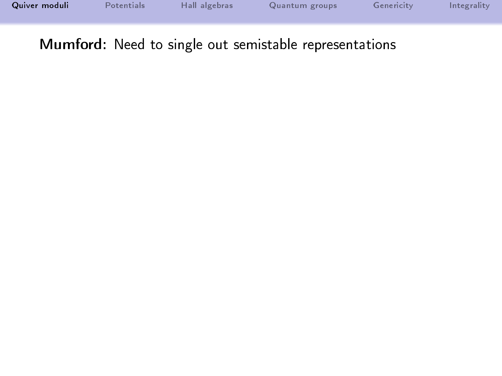| Quiver moduli | Potentials | Hall algebras | Quantum groups | Genericity | Integrality |
|---------------|------------|---------------|----------------|------------|-------------|
|               |            |               |                |            |             |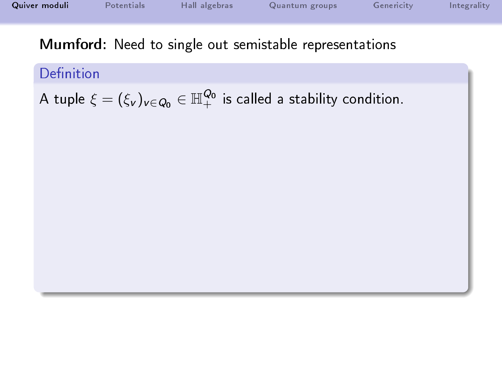| Quiver moduli | Potentials | Hall algebras | Quantum groups | Genericity | Integrality |
|---------------|------------|---------------|----------------|------------|-------------|
|               |            |               |                |            |             |
|               |            |               |                |            |             |

Definition

A tuple  $\xi=(\xi_{\rm v})_{{\rm v}\in Q_0}\in{\mathbb H}_+^{Q_0}$  is called a stability condition.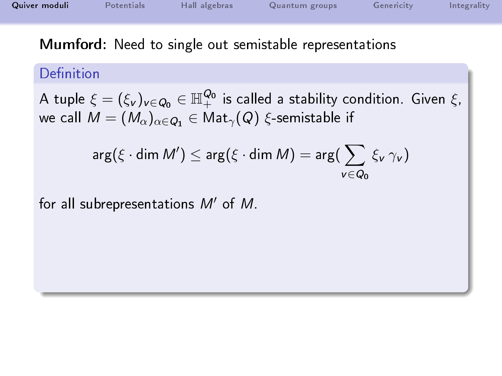| Quiver moduli | Potentials | Hall algebras | Quantum groups | Genericity | Integrality |
|---------------|------------|---------------|----------------|------------|-------------|
|               |            |               |                |            |             |

### Definition

A tuple  $\xi=(\xi_{\rm v})_{{\rm v}\in Q_0}\in{\mathbb H}_+^{Q_0}$  is called a stability condition. Given  $\xi$ , we call  $M = (M_{\alpha})_{\alpha \in Q_1} \in \mathsf{Mat}_{\gamma}(Q)$   $\xi$ -semistable if

$$
\arg(\xi \cdot \dim M') \leq \arg(\xi \cdot \dim M) = \arg(\sum_{v \in Q_0} \xi_v \gamma_v)
$$

for all subrepresentations  $M'$  of  $M$ .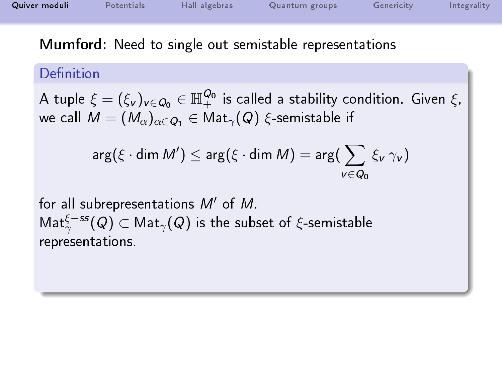| Quiver moduli | Potentials | Hall algebras | Quantum groups | Genericity | Integrality |
|---------------|------------|---------------|----------------|------------|-------------|
|               |            |               |                |            |             |

### Definition

A tuple  $\xi=(\xi_{\rm v})_{{\rm v}\in Q_0}\in{\mathbb H}_+^{Q_0}$  is called a stability condition. Given  $\xi$ , we call  $M = (M_{\alpha})_{\alpha \in Q_1} \in \text{Mat}_{\gamma}(Q)$  ξ-semistable if

$$
\arg(\xi \cdot \dim M') \leq \arg(\xi \cdot \dim M) = \arg(\sum_{v \in Q_0} \xi_v \gamma_v)
$$

for all subrepresentations  $M'$  of  $M$ .  $\mathsf{Mat}^{\xi-ss}_{\gamma}(\mathsf{Q})\subset \mathsf{Mat}_{\gamma}(\mathsf{Q})$  is the subset of  $\xi$ -semistable representations.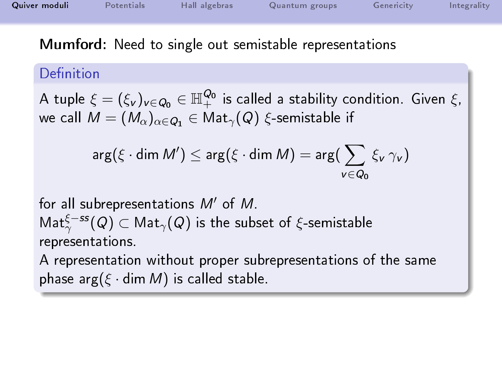| Quiver moduli | Potentials | Hall algebras | Quantum groups | Genericity | Integrality |
|---------------|------------|---------------|----------------|------------|-------------|
|               |            |               |                |            |             |

### Definition

A tuple  $\xi=(\xi_{\rm v})_{{\rm v}\in Q_0}\in{\mathbb H}_+^{Q_0}$  is called a stability condition. Given  $\xi$ , we call  $M = (M_{\alpha})_{\alpha \in Q_1} \in \text{Mat}_{\gamma}(Q)$  ξ-semistable if

$$
\arg(\xi \cdot \dim M') \leq \arg(\xi \cdot \dim M) = \arg(\sum_{v \in Q_0} \xi_v \gamma_v)
$$

for all subrepresentations  $M'$  of  $M$ .  $\mathsf{Mat}^{\xi-ss}_{\gamma}(\mathsf{Q})\subset \mathsf{Mat}_{\gamma}(\mathsf{Q})$  is the subset of  $\xi$ -semistable representations.

A representation without proper subrepresentations of the same phase  $\arg(\xi \cdot \dim M)$  is called stable.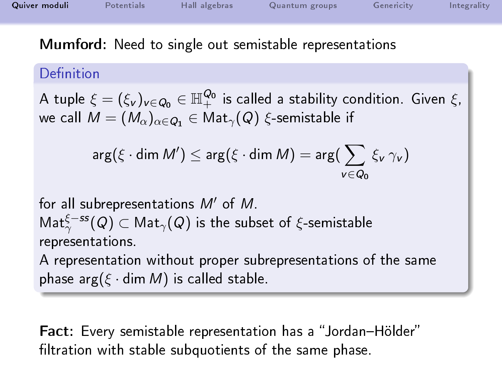| Quiver moduli | Potentials | Hall algebras | Quantum groups | Genericity | Integrality |
|---------------|------------|---------------|----------------|------------|-------------|
|               |            |               |                |            |             |

### Definition

A tuple  $\xi=(\xi_{\rm v})_{{\rm v}\in Q_0}\in{\mathbb H}_+^{Q_0}$  is called a stability condition. Given  $\xi$ , we call  $M = (M_{\alpha})_{\alpha \in \mathcal{O}_1} \in \mathsf{Mat}_{\gamma}(Q)$  ξ-semistable if

$$
\arg(\xi \cdot \dim M') \leq \arg(\xi \cdot \dim M) = \arg(\sum_{v \in Q_0} \xi_v \gamma_v)
$$

for all subrepresentations  $M'$  of  $M$ .  $\mathsf{Mat}^{\xi-ss}_{\gamma}(\mathsf{Q})\subset \mathsf{Mat}_{\gamma}(\mathsf{Q})$  is the subset of  $\xi$ -semistable representations.

A representation without proper subrepresentations of the same phase arg( $\xi \cdot \text{dim } M$ ) is called stable.

Fact: Every semistable representation has a "Jordan-Hölder" filtration with stable subquotients of the same phase.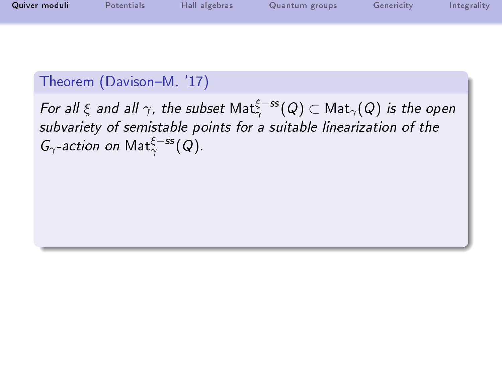| Quiver moduli | Potentials | Hall algebras | Quantum groups | Genericity | Integrality |
|---------------|------------|---------------|----------------|------------|-------------|
|               |            |               |                |            |             |

## Theorem (Davison-M. '17)

For all  $\xi$  and all  $\gamma$ , the subset  $\mathsf{Mat}^{\xi-ss}_{\gamma}(\mathsf{Q})\subset \mathsf{Mat}_{\gamma}(\mathsf{Q})$  is the open subvariety of semistable points for a suitable linearization of the  $G_{\gamma}$ -action on Mat $_{\gamma}^{\xi-ss}(Q)$ .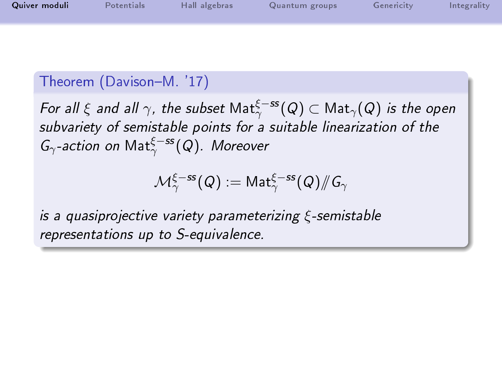| Quiver moduli | <b>Potentials</b> | Hall algebras | Quantum groups | Genericity | Integrality |
|---------------|-------------------|---------------|----------------|------------|-------------|
|               |                   |               |                |            |             |

# Theorem (Davison-M. '17)

For all  $\xi$  and all  $\gamma$ , the subset  $\mathsf{Mat}^{\xi-ss}_{\gamma}(\mathsf{Q})\subset \mathsf{Mat}_{\gamma}(\mathsf{Q})$  is the open subvariety of semistable points for a suitable linearization of the  $G_{\gamma}$ -action on  $\mathsf{Mat}^{\xi-ss}_{\gamma}(\mathsf{Q})$ . Moreover

$$
\mathcal{M}_\gamma^{\xi-ss}(Q):=\mathsf{Mat}_\gamma^{\xi-ss}(Q)/\!\!/G_\gamma
$$

is a quasiprojective variety parameterizing ξ-semistable representations up to S-equivalence.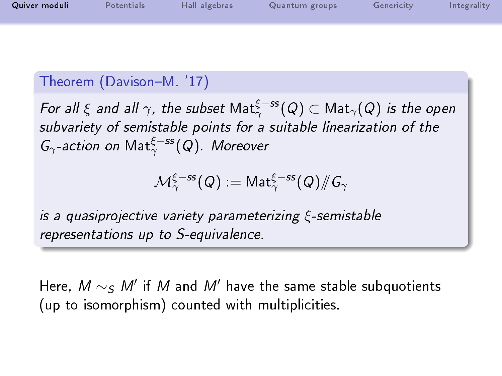| Quiver moduli | Potentials | Hall algebras | Quantum groups | Genericity | Integrality |
|---------------|------------|---------------|----------------|------------|-------------|
|               |            |               |                |            |             |

# Theorem (Davison-M. '17)

For all  $\xi$  and all  $\gamma$ , the subset  $\mathsf{Mat}^{\xi-ss}_{\gamma}(\mathsf{Q})\subset \mathsf{Mat}_{\gamma}(\mathsf{Q})$  is the open subvariety of semistable points for a suitable linearization of the  $G_{\gamma}$ -action on  $\mathsf{Mat}^{\xi-ss}_{\gamma}(\mathsf{Q})$ . Moreover

$$
\mathcal{M}_\gamma^{\xi-ss}(Q):=\mathsf{Mat}_\gamma^{\xi-ss}(Q)/\!\!/G_\gamma
$$

is a quasiprojective variety parameterizing ξ-semistable representations up to S-equivalence.

Here,  $M\sim_S M'$  if  $M$  and  $M'$  have the same stable subquotients (up to isomorphism) counted with multiplicities.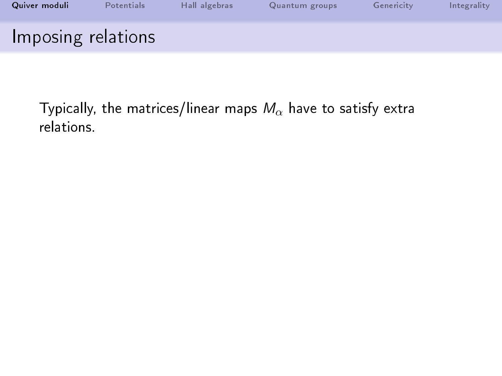| Quiver moduli      | Potentials | Hall algebras | Quantum groups | Genericity | Integrality |
|--------------------|------------|---------------|----------------|------------|-------------|
| Imposing relations |            |               |                |            |             |

Typically, the matrices/linear maps  $M_{\alpha}$  have to satisfy extra relations.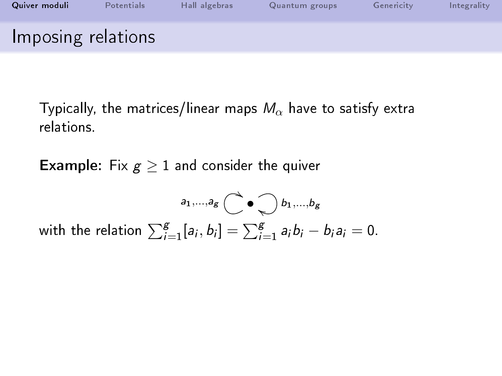| Quiver moduli      | Potentials | Hall algebras | Quantum groups | Genericity | Integrality |
|--------------------|------------|---------------|----------------|------------|-------------|
| Imposing relations |            |               |                |            |             |

Typically, the matrices/linear maps  $M_{\alpha}$  have to satisfy extra relations.

**Example:** Fix  $g \geq 1$  and consider the quiver

$$
\sum_{j=1}^{a_1,\ldots,a_g} \bigodot \bullet \bigodot b_1,\ldots,b_g
$$
 with the relation 
$$
\sum_{i=1}^g [a_i,b_i] = \sum_{i=1}^g a_i b_i - b_i a_i = 0.
$$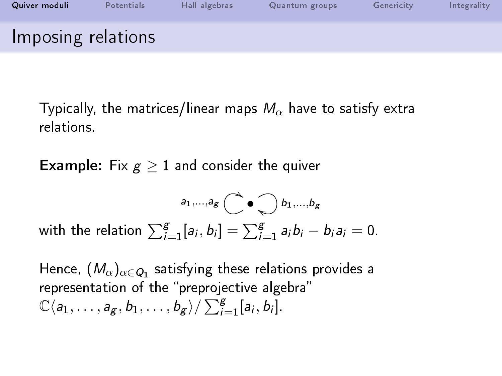| Quiver moduli      | Potentials | Hall algebras | Quantum groups | Genericity | Integrality |
|--------------------|------------|---------------|----------------|------------|-------------|
| Imposing relations |            |               |                |            |             |

Typically, the matrices/linear maps  $M_{\alpha}$  have to satisfy extra relations.

**Example:** Fix  $g \geq 1$  and consider the quiver

$$
\sum_{j=1}^{a_1,\ldots,a_g} \bigodot_{j=1}^{a_1,\ldots,b_g} b_1,\ldots,b_g
$$
 with the relation 
$$
\sum_{i=1}^{g} [a_i,b_i] = \sum_{i=1}^{g} a_i b_i - b_i a_i = 0.
$$

Hence,  $(M_{\alpha})_{\alpha\in Q_1}$  satisfying these relations provides a representation of the "preprojective algebra"  $\mathbb{C}\langle a_1,\ldots,a_g,b_1,\ldots,b_g\rangle/\sum_{i=1}^g [a_i,b_i].$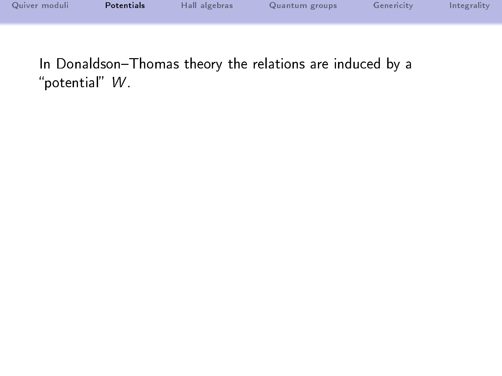| Quiver moduli | Potentials | Hall algebras | Quantum groups | Genericity | Integrality |
|---------------|------------|---------------|----------------|------------|-------------|
|               |            |               |                |            |             |
|               |            |               |                |            |             |

<span id="page-18-0"></span>In Donaldson-Thomas theory the relations are induced by a "potential"  $W$ .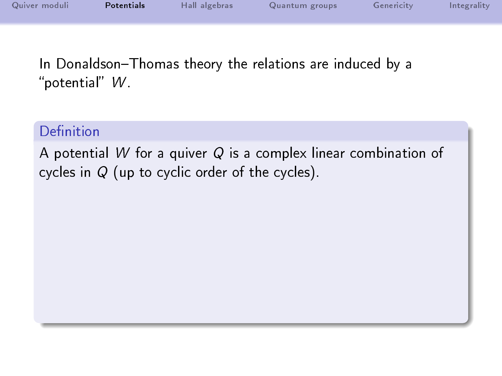| Quiver moduli | Potentials | Hall algebras | Quantum groups | Genericity | Integrality |
|---------------|------------|---------------|----------------|------------|-------------|
|               |            |               |                |            |             |

In Donaldson-Thomas theory the relations are induced by a "potential"  $W$ .

### Definition

A potential W for a quiver  $Q$  is a complex linear combination of cycles in Q (up to cyclic order of the cycles).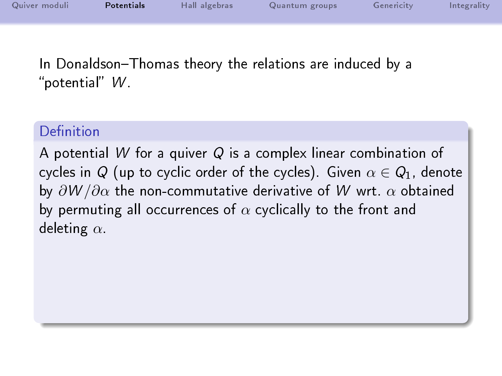| Quiver moduli | Potentials | Hall algebras | Quantum groups | Genericity | Integrality |
|---------------|------------|---------------|----------------|------------|-------------|
|               |            |               |                |            |             |

In Donaldson-Thomas theory the relations are induced by a "potential"  $W$ 

### Definition

A potential W for a quiver Q is a complex linear combination of cycles in Q (up to cyclic order of the cycles). Given  $\alpha \in Q_1$ , denote by  $\partial W/\partial \alpha$  the non-commutative derivative of W wrt.  $\alpha$  obtained by permuting all occurrences of  $\alpha$  cyclically to the front and deleting  $\alpha$ .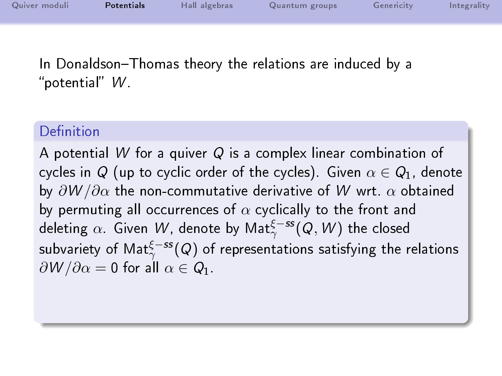| Quiver moduli | <b>Potentials</b> | Hall algebras | Quantum groups | Genericity | Integrality |
|---------------|-------------------|---------------|----------------|------------|-------------|
|               |                   |               |                |            |             |

In Donaldson-Thomas theory the relations are induced by a "potential"  $W$ 

### Definition

A potential W for a quiver  $Q$  is a complex linear combination of cycles in Q (up to cyclic order of the cycles). Given  $\alpha \in Q_1$ , denote by  $\partial W/\partial \alpha$  the non-commutative derivative of W wrt.  $\alpha$  obtained by permuting all occurrences of  $\alpha$  cyclically to the front and deleting  $\alpha.$  Given  $\,$  W, denote by Mat $^{\xi-ss}_{\gamma}(Q,W)$  the closed subvariety of Mat $_{\gamma}^{\xi-ss}(Q)$  of representations satisfying the relations  $\partial W/\partial \alpha = 0$  for all  $\alpha \in Q_1$ .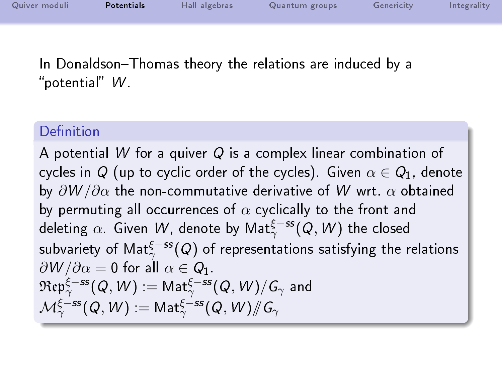| Quiver moduli | <b>Potentials</b> | Hall algebras | Quantum groups | Genericity | Integrality |
|---------------|-------------------|---------------|----------------|------------|-------------|
|               |                   |               |                |            |             |

In Donaldson-Thomas theory the relations are induced by a "potential"  $W$ 

### Definition

A potential W for a quiver Q is a complex linear combination of cycles in Q (up to cyclic order of the cycles). Given  $\alpha \in Q_1$ , denote by  $\partial W/\partial \alpha$  the non-commutative derivative of W wrt.  $\alpha$  obtained by permuting all occurrences of  $\alpha$  cyclically to the front and deleting  $\alpha.$  Given  $\,$  W, denote by Mat $^{\xi-ss}_{\gamma}(Q,W)$  the closed subvariety of Mat $_{\gamma}^{\xi-ss}(Q)$  of representations satisfying the relations  $\partial W/\partial \alpha = 0$  for all  $\alpha \in Q_1$ .  $\mathfrak{Rep}^{\xi-ss}_{\gamma}(\mathsf{Q},\mathsf{W}) := \mathsf{Mat}^{\xi-ss}_{\gamma}(\mathsf{Q},\mathsf{W})/\mathsf{G}_\gamma$  and  $\mathcal{M}_\gamma^{\xi-ss}(Q,W):= \mathsf{Mat}_\gamma^{\xi-ss}(Q,W)/\!\!/ G_\gamma$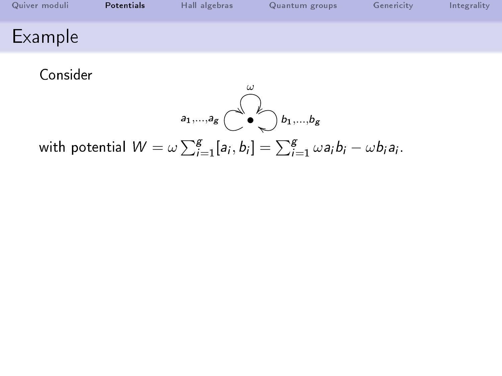| Quiver moduli  | Potentials | Hall algebras | Quantum groups | Genericity | Integrality |
|----------------|------------|---------------|----------------|------------|-------------|
| <b>Example</b> |            |               |                |            |             |

Consider



with potential  $W = \omega \sum_{i=1}^{g} [a_i, b_i] = \sum_{i=1}^{g} \omega a_i b_i - \omega b_i a_i.$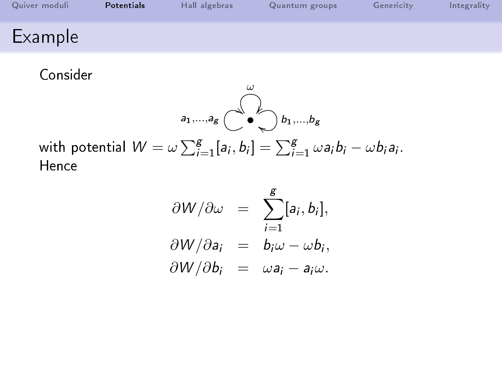| Quiver moduli  | Potentials | Hall algebras | Quantum groups | Genericity | Integrality |
|----------------|------------|---------------|----------------|------------|-------------|
| <b>Example</b> |            |               |                |            |             |

Consider

$$
a_1,\ldots,a_g \overset{\omega}{\overset{\omega}{\bigcup}} b_1,\ldots,b_g
$$

with potential  $W = \omega \sum_{i=1}^{g} [a_i, b_i] = \sum_{i=1}^{g} \omega a_i b_i - \omega b_i a_i.$ Hence

$$
\frac{\partial W}{\partial \omega} = \sum_{i=1}^{g} [a_i, b_i],
$$
  
\n
$$
\frac{\partial W}{\partial a_i} = b_i \omega - \omega b_i,
$$
  
\n
$$
\frac{\partial W}{\partial b_i} = \omega a_i - a_i \omega.
$$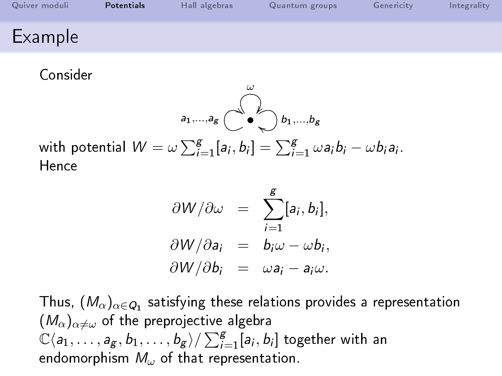| Quiver moduli  | Potentials | Hall algebras | Quantum groups | Genericity | Integrality |
|----------------|------------|---------------|----------------|------------|-------------|
| <b>Example</b> |            |               |                |            |             |

Consider

$$
a_1,\ldots,a_g \overset{\omega}{\overset{\omega}{\bigcup}} b_1,\ldots,b_g
$$

with potential  $W = \omega \sum_{i=1}^{g} [a_i, b_i] = \sum_{i=1}^{g} \omega a_i b_i - \omega b_i a_i.$ Hence

$$
\frac{\partial W}{\partial \omega} = \sum_{i=1}^{g} [a_i, b_i],
$$
  
\n
$$
\frac{\partial W}{\partial a_i} = b_i \omega - \omega b_i,
$$
  
\n
$$
\frac{\partial W}{\partial b_i} = \omega a_i - a_i \omega.
$$

Thus,  $(\mathcal{M}_\alpha)_{\alpha\in\mathcal{Q}_1}$  satisfying these relations provides a representation  $(M_{\alpha})_{\alpha\neq\omega}$  of the preprojective algebra  $\mathbb{C}\langle \textsf{a}_1, \ldots, \textsf{a}_\textsf{g}, \textsf{b}_1, \ldots, \textsf{b}_\textsf{g}\rangle / \sum_{i=1}^\textsf{g} [\textsf{a}_i, \textsf{b}_i]$  together with an endomorphism  $M_{\omega}$  of that representation.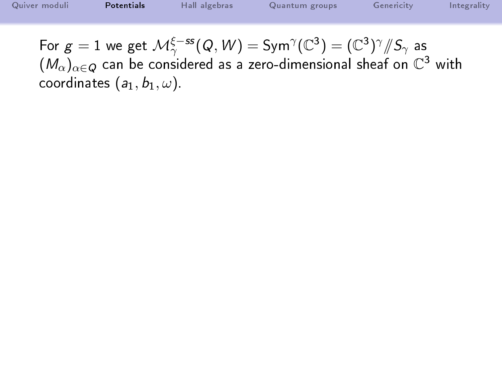[Quiver moduli](#page-1-0) **[Potentials](#page-18-0)** [Hall algebras](#page-32-0) [Quantum groups](#page-55-0) [Genericity](#page-59-0) [Integrality](#page-68-0) For  $g=1$  we get  $\mathcal{M}_\gamma^{\xi-ss}(Q,W)=\text{Sym}^\gamma(\mathbb{C}^3)=(\mathbb{C}^3)^\gamma/\hspace{-3pt}/ S_\gamma$  as  $(\mathcal{M}_\alpha)_{\alpha\in \mathcal{Q}}$  can be considered as a zero-dimensional sheaf on  $\mathbb{C}^3$  with coordinates  $(a_1, b_1, \omega)$ .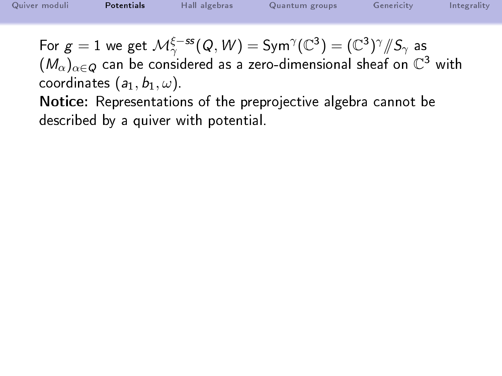| Quiver moduli | Potentials | Hall algebras                                                                                     | Quantum groups                                   | Genericity              | Integrality |
|---------------|------------|---------------------------------------------------------------------------------------------------|--------------------------------------------------|-------------------------|-------------|
|               |            | $\frac{1}{2}$ $\frac{1}{2}$ $\frac{5}{2}$ $\frac{1}{2}$ $\frac{5}{2}$ $\frac{1}{2}$ $\frac{1}{2}$ | $\sim$ $\sim$ $\sim$ $\sim$ $\sim$<br>$\sqrt{2}$ | $1.0332 \times 10^{-7}$ |             |

For  $g=1$  we get  $\mathcal{M}_\gamma^{\xi-ss}(Q,W)=\text{Sym}^\gamma(\mathbb{C}^3)=(\mathbb{C}^3)^\gamma/\hspace{-3pt}/ S_\gamma$  as  $(\mathcal{M}_\alpha)_{\alpha\in \mathcal{Q}}$  can be considered as a zero-dimensional sheaf on  $\mathbb{C}^3$  with coordinates  $(a_1, b_1, \omega)$ .

Notice: Representations of the preprojective algebra cannot be described by a quiver with potential.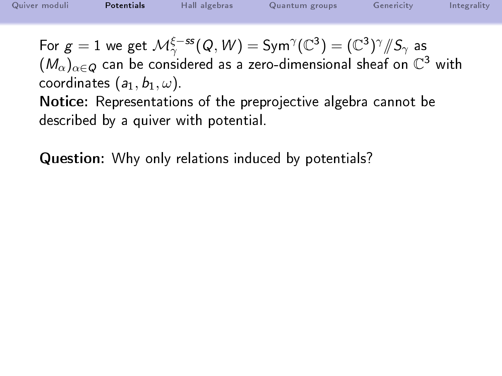$(\mathcal{M}_\alpha)_{\alpha\in \mathcal{Q}}$  can be considered as a zero-dimensional sheaf on  $\mathbb{C}^3$  with coordinates  $(a_1, b_1, \omega)$ .

Notice: Representations of the preprojective algebra cannot be described by a quiver with potential.

Question: Why only relations induced by potentials?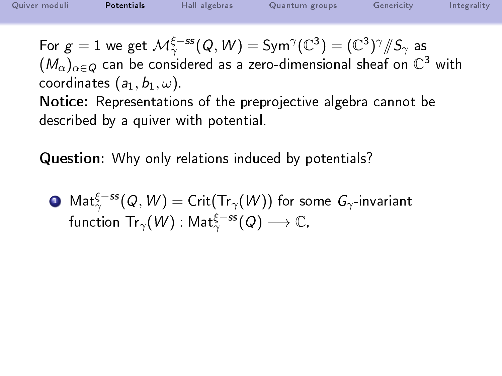$(\mathcal{M}_\alpha)_{\alpha\in \mathcal{Q}}$  can be considered as a zero-dimensional sheaf on  $\mathbb{C}^3$  with coordinates  $(a_1, b_1, \omega)$ .

Notice: Representations of the preprojective algebra cannot be described by a quiver with potential.

Question: Why only relations induced by potentials?

 ${\bf D}$   ${\sf Mat}^{\xi-ss}_{\gamma}(\mathcal Q,\mathcal W)={\sf Crit}({\sf Tr}_\gamma(\mathcal W))$  for some  $G_\gamma$ -invariant function  $\mathsf{Tr}_\gamma(\mathsf{W})$  :  $\mathsf{Mat}^{\xi-{\rm ss}}_\gamma(\mathsf{Q})\longrightarrow \mathbb{C},$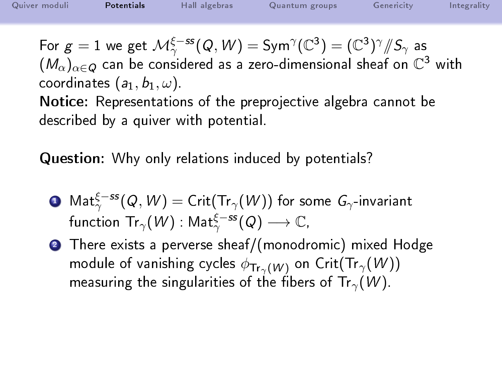$(\mathcal{M}_\alpha)_{\alpha\in \mathcal{Q}}$  can be considered as a zero-dimensional sheaf on  $\mathbb{C}^3$  with coordinates  $(a_1, b_1, \omega)$ .

Notice: Representations of the preprojective algebra cannot be described by a quiver with potential.

Question: Why only relations induced by potentials?

- ${\bf D}$   ${\sf Mat}^{\xi-ss}_{\gamma}(\mathcal Q,\mathcal W)={\sf Crit}({\sf Tr}_\gamma(\mathcal W))$  for some  $G_\gamma$ -invariant function  $\mathsf{Tr}_\gamma(\mathsf{W})$  :  $\mathsf{Mat}^{\xi-{\rm ss}}_\gamma(\mathsf{Q})\longrightarrow \mathbb{C},$
- <sup>2</sup> There exists a perverse sheaf/(monodromic) mixed Hodge module of vanishing cycles  $\phi_{\text{Tr}_{\gamma}(W)}$  on Crit(Tr<sub> $\gamma(W)$ </sub>) measuring the singularities of the fibers of Tr<sub> $\gamma$ </sub>(W).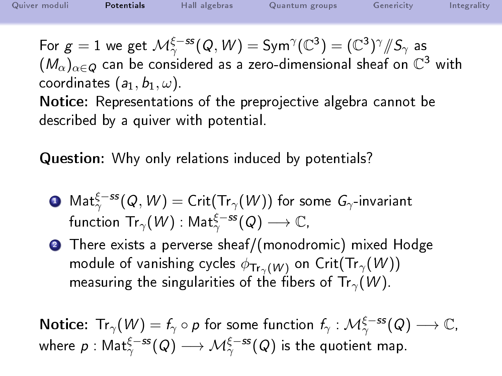$(\mathcal{M}_\alpha)_{\alpha\in \mathcal{Q}}$  can be considered as a zero-dimensional sheaf on  $\mathbb{C}^3$  with coordinates  $(a_1, b_1, \omega)$ .

Notice: Representations of the preprojective algebra cannot be described by a quiver with potential.

Question: Why only relations induced by potentials?

- ${\bf D}$   ${\sf Mat}^{\xi-ss}_{\gamma}(\mathcal Q,\mathcal W)={\sf Crit}({\sf Tr}_\gamma(\mathcal W))$  for some  $G_\gamma$ -invariant function  $\mathsf{Tr}_\gamma(\mathsf{W})$  :  $\mathsf{Mat}^{\xi-{\rm ss}}_\gamma(\mathsf{Q})\longrightarrow \mathbb{C},$
- <sup>2</sup> There exists a perverse sheaf/(monodromic) mixed Hodge module of vanishing cycles  $\phi_{\text{Tr}_{\gamma}(W)}$  on Crit(Tr<sub> $\gamma(W)$ </sub>) measuring the singularities of the fibers of Tr<sub> $\gamma$ </sub>(W).

Notice: Tr $_{\gamma}(W)=f_{\gamma}\circ p$  for some function  $f_{\gamma}:\mathcal{M}_{\gamma}^{\xi-ss}(Q)\longrightarrow\mathbb{C},$ where  $\rho: \mathsf{Mat}^{\xi-ss}_\gamma(\mathsf{Q}) \longrightarrow \mathcal{M}^{\xi-ss}_\gamma(\mathsf{Q})$  is the quotient map.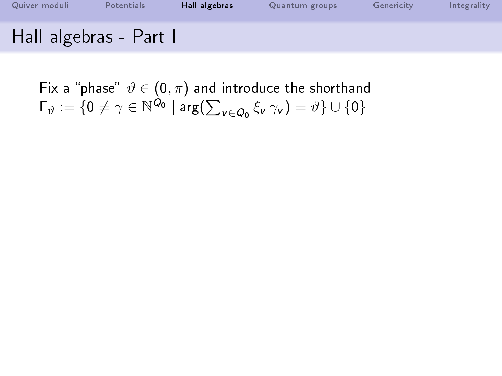| Quiver moduli          | <b>Potentials</b> | Hall algebras | Quantum groups | Genericity | Integrality |
|------------------------|-------------------|---------------|----------------|------------|-------------|
| Hall algebras - Part I |                   |               |                |            |             |

<span id="page-32-0"></span>Fix a "phase"  $\vartheta \in (0, \pi)$  and introduce the shorthand  $\Gamma_{\vartheta}:=\{0\neq\gamma\in\mathbb{N}^{\mathcal{Q}_{0}}\mid\mathsf{arg}(\sum_{\mathsf{v}\in\mathcal{Q}_{0}}\xi_{\mathsf{v}}\,\gamma_{\mathsf{v}})=\vartheta\}\cup\{0\}$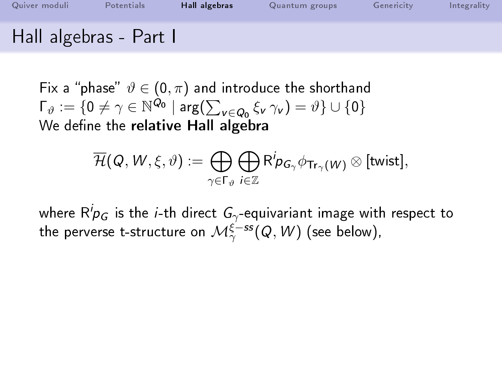| Quiver moduli          | Potentials | Hall algebras | Quantum groups | Genericity | Integrality |
|------------------------|------------|---------------|----------------|------------|-------------|
| Hall algebras - Part I |            |               |                |            |             |

Fix a "phase"  $\vartheta \in (0, \pi)$  and introduce the shorthand  $\Gamma_{\vartheta}:=\{0\neq\gamma\in\mathbb{N}^{\mathcal{Q}_{0}}\mid\mathsf{arg}(\sum_{\mathsf{v}\in\mathcal{Q}_{0}}\xi_{\mathsf{v}}\,\gamma_{\mathsf{v}})=\vartheta\}\cup\{0\}$ We define the relative Hall algebra

$$
\overline{\mathcal{H}}(\mathcal{Q},\mathcal{W},\xi,\vartheta):=\bigoplus_{\gamma\in\Gamma_{\vartheta}}\bigoplus_{i\in\mathbb{Z}}\mathsf{R}^i\!p_{G_\gamma}\phi_{\mathsf{Tr}_\gamma(\mathcal{W})}\otimes[\textsf{twist}],
$$

where  $\mathsf{R}^i\!p_G$  is the *i*-th direct  $\mathsf{G}_\gamma$ -equivariant image with respect to the perverse t-structure on  $\mathcal{M}^{\xi-ss}_{\gamma}(Q,\mathcal{W})$  (see below),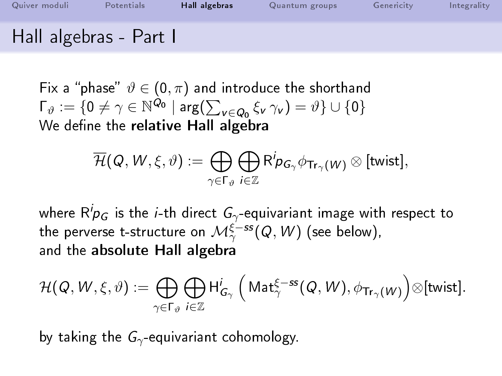| Quiver moduli          | Potentials | Hall algebras | Quantum groups | Genericity | Integrality |
|------------------------|------------|---------------|----------------|------------|-------------|
| Hall algebras - Part I |            |               |                |            |             |

Fix a "phase"  $\vartheta \in (0, \pi)$  and introduce the shorthand  $\Gamma_{\vartheta}:=\{0\neq\gamma\in\mathbb{N}^{\mathcal{Q}_{0}}\mid\mathsf{arg}(\sum_{\mathsf{v}\in\mathcal{Q}_{0}}\xi_{\mathsf{v}}\,\gamma_{\mathsf{v}})=\vartheta\}\cup\{0\}$ We define the relative Hall algebra

$$
\overline{\mathcal{H}}(\mathcal{Q},\mathcal{W},\xi,\vartheta):=\bigoplus_{\gamma\in\Gamma_{\vartheta}}\bigoplus_{i\in\mathbb{Z}}\mathsf{R}^i\!p_{\bm{G}_\gamma}\phi_{\mathsf{Tr}_\gamma(\mathcal{W})}\otimes[\textsf{twist}],
$$

where  $\mathsf{R}^i\!p_G$  is the *i*-th direct  $\mathsf{G}_\gamma$ -equivariant image with respect to the perverse t-structure on  $\mathcal{M}^{\xi-ss}_{\gamma}(Q,\mathcal{W})$  (see below), and the absolute Hall algebra

$$
\mathcal{H}(\mathit{Q},\mathit{W},\xi,\vartheta):=\bigoplus_{\gamma\in\Gamma_{\vartheta}}\bigoplus_{i\in\mathbb{Z}}\mathsf{H}^i_{\mathsf{G}_\gamma}\,\Big(\mathsf{Mat}^{\xi-ss}_\gamma(\mathit{Q},\mathit{W}),\phi_{\mathsf{Tr}_\gamma(\mathit{W})}\Big)\otimes[\textsf{twist}].
$$

by taking the  $G_{\gamma}$ -equivariant cohomology.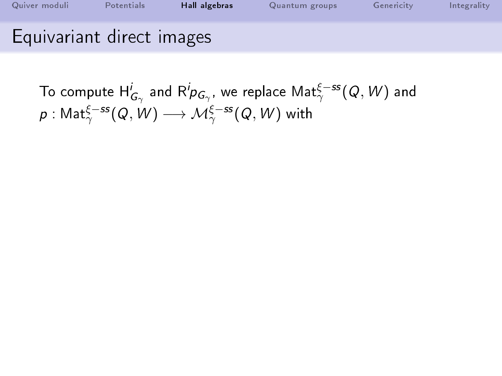| Quiver moduli             | Potentials/ | Hall algebras | Quantum groups | Genericity | Integrality |
|---------------------------|-------------|---------------|----------------|------------|-------------|
| Equivariant direct images |             |               |                |            |             |

To compute  $\mathsf{H}^i_{G_\gamma}$  and  $\mathsf{R}^i p_{G_\gamma},$  we replace  $\mathsf{Mat}^{\xi-ss}_\gamma(Q,W)$  and  $\rho: \mathsf{Mat}^{\xi-{\mathsf{ss}}}_{\gamma}(\mathsf{Q},\mathsf{W})\longrightarrow \mathcal{M}^{\xi-{\mathsf{ss}}}_{\gamma}(\mathsf{Q},\mathsf{W})$  with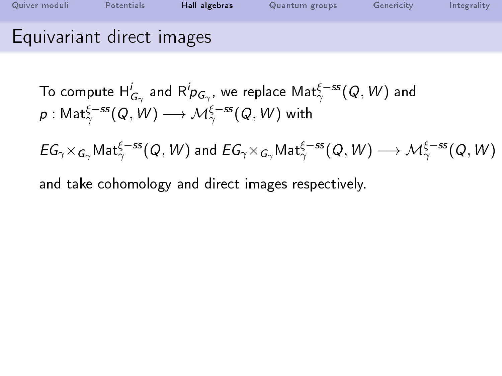| Quiver moduli             | Potentials | Hall algebras | Quantum groups | Genericity | Integrality |
|---------------------------|------------|---------------|----------------|------------|-------------|
| Equivariant direct images |            |               |                |            |             |

To compute 
$$
H^i_{G_\gamma}
$$
 and  $R^i p_{G_\gamma}$ , we replace  $Mat^{\xi-ss}_\gamma(Q, W)$  and  $p: Mat^{\xi-ss}_\gamma(Q, W) \longrightarrow \mathcal{M}^{\xi-ss}_\gamma(Q, W)$  with

 $EG_\gamma\times_{G_\gamma}\mathsf{Mat}^{\xi-ss}_\gamma(\mathsf{Q},\mathsf{W})$  and  $EG_\gamma\times_{G_\gamma}\mathsf{Mat}^{\xi-ss}_\gamma(\mathsf{Q},\mathsf{W})\longrightarrow \mathcal{M}^{\xi-ss}_\gamma(\mathsf{Q},\mathsf{W})$ 

and take cohomology and direct images respectively.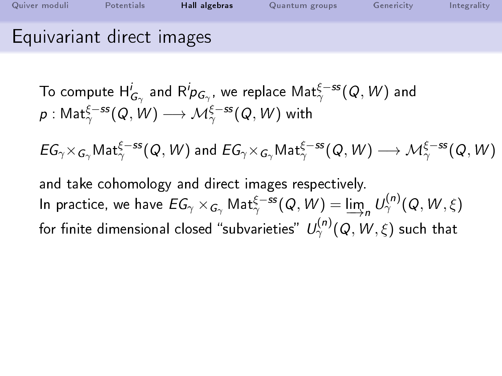| Quiver moduli             | Potentials | Hall algebras | Quantum groups | Genericity | Integrality |
|---------------------------|------------|---------------|----------------|------------|-------------|
| Equivariant direct images |            |               |                |            |             |

 $EG_\gamma\times_{G_\gamma}\mathsf{Mat}^{\xi-ss}_\gamma(\mathsf{Q},\mathsf{W})$  and  $EG_\gamma\times_{G_\gamma}\mathsf{Mat}^{\xi-ss}_\gamma(\mathsf{Q},\mathsf{W})\longrightarrow \mathcal{M}^{\xi-ss}_\gamma(\mathsf{Q},\mathsf{W})$ 

and take cohomology and direct images respectively. In practice, we have  $EG_\gamma\times_{G_\gamma}{\sf Mat}^{\xi-ss}_\gamma(Q,W)=\varinjlim_n U_\gamma^{(n)}(Q,W,\xi)$ for finite dimensional closed "subvarieties"  $\mathit{U}^{(n)}_{\gamma}(Q,\mathit{W},\xi)$  such that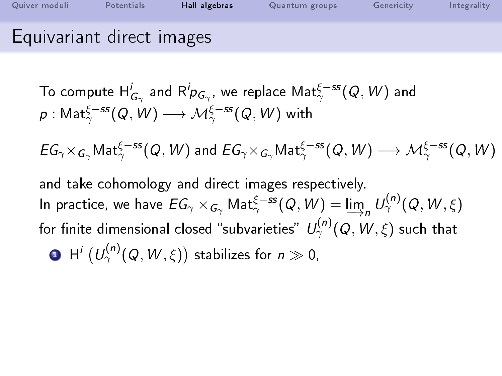| Quiver moduli             | Potentials | Hall algebras | Quantum groups | Genericity | Integrality |
|---------------------------|------------|---------------|----------------|------------|-------------|
| Equivariant direct images |            |               |                |            |             |

 $EG_\gamma\times_{G_\gamma}\mathsf{Mat}^{\xi-ss}_\gamma(\mathsf{Q},\mathsf{W})$  and  $EG_\gamma\times_{G_\gamma}\mathsf{Mat}^{\xi-ss}_\gamma(\mathsf{Q},\mathsf{W})\longrightarrow \mathcal{M}^{\xi-ss}_\gamma(\mathsf{Q},\mathsf{W})$ 

and take cohomology and direct images respectively. In practice, we have  $EG_\gamma\times_{G_\gamma}{\sf Mat}^{\xi-ss}_\gamma(Q,W)=\varinjlim_n U_\gamma^{(n)}(Q,W,\xi)$ for finite dimensional closed "subvarieties"  $\mathit{U}^{(n)}_{\gamma}(Q,\mathit{W},\xi)$  such that  $\mathbf{D}^{-} \mathsf{H}^{i}\left( U^{(n)}_{\gamma}(\mathsf{Q},\mathsf{W},\xi)\right)$  stabilizes for  $n\gg 0,$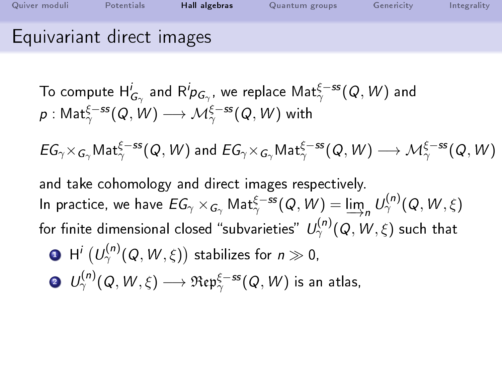| Quiver moduli             | Potentials | Hall algebras | Quantum groups | Genericity | Integrality |
|---------------------------|------------|---------------|----------------|------------|-------------|
| Equivariant direct images |            |               |                |            |             |

 $EG_\gamma\times_{G_\gamma}\mathsf{Mat}^{\xi-ss}_\gamma(\mathsf{Q},\mathsf{W})$  and  $EG_\gamma\times_{G_\gamma}\mathsf{Mat}^{\xi-ss}_\gamma(\mathsf{Q},\mathsf{W})\longrightarrow \mathcal{M}^{\xi-ss}_\gamma(\mathsf{Q},\mathsf{W})$ 

and take cohomology and direct images respectively. In practice, we have  $EG_\gamma\times_{G_\gamma}{\sf Mat}^{\xi-ss}_\gamma(Q,W)=\varinjlim_n U_\gamma^{(n)}(Q,W,\xi)$ for finite dimensional closed "subvarieties"  $\mathit{U}^{(n)}_{\gamma}(Q,\mathit{W},\xi)$  such that

- $\mathbf{D}^{-} \mathsf{H}^{i}\left( U^{(n)}_{\gamma}(\mathsf{Q},\mathsf{W},\xi)\right)$  stabilizes for  $n\gg 0,$
- $\mathcal{O} \quad U^{(n)}_\gamma(Q,W,\xi) \longrightarrow \mathfrak{Rep}^{\xi-ss}_\gamma(Q,W)$  is an atlas,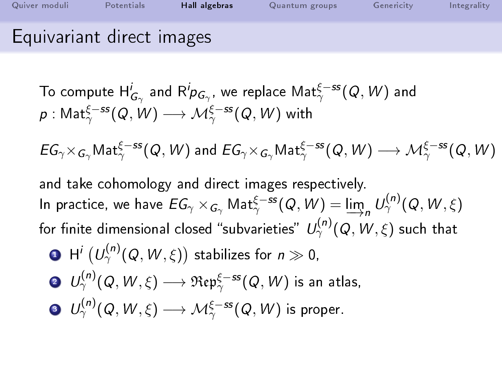| Quiver moduli             | Potentials | Hall algebras | Quantum groups | Genericity | Integrality |
|---------------------------|------------|---------------|----------------|------------|-------------|
| Equivariant direct images |            |               |                |            |             |

 $EG_\gamma\times_{G_\gamma}\mathsf{Mat}^{\xi-ss}_\gamma(\mathsf{Q},\mathsf{W})$  and  $EG_\gamma\times_{G_\gamma}\mathsf{Mat}^{\xi-ss}_\gamma(\mathsf{Q},\mathsf{W})\longrightarrow \mathcal{M}^{\xi-ss}_\gamma(\mathsf{Q},\mathsf{W})$ 

and take cohomology and direct images respectively. In practice, we have  $EG_\gamma\times_{G_\gamma}{\sf Mat}^{\xi-ss}_\gamma(Q,W)=\varinjlim_n U_\gamma^{(n)}(Q,W,\xi)$ for finite dimensional closed "subvarieties"  $\mathit{U}^{(n)}_{\gamma}(Q,\mathit{W},\xi)$  such that

- $\mathbf{D}^{-} \mathsf{H}^{i}\left( U^{(n)}_{\gamma}(\mathsf{Q},\mathsf{W},\xi)\right)$  stabilizes for  $n\gg 0,$
- $\mathcal{O} \quad U^{(n)}_\gamma(Q,W,\xi) \longrightarrow \mathfrak{Rep}^{\xi-ss}_\gamma(Q,W)$  is an atlas,
- $\begin{CD} \quad {\bf 0}\quad U^{(n)}_\gamma(Q,W,\xi)\longrightarrow {\mathcal M}^{\xi-ss}_{\gamma}(Q,W)$  is proper.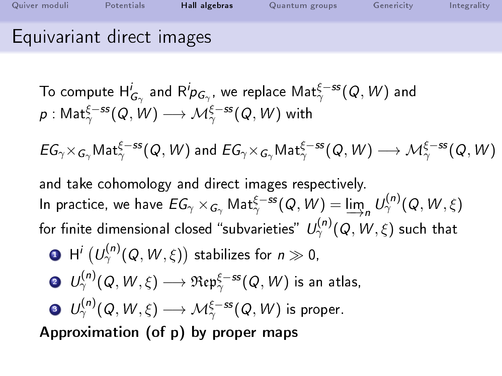| Quiver moduli             | Potentials | Hall algebras | Quantum groups | Genericity | Integrality |
|---------------------------|------------|---------------|----------------|------------|-------------|
| Equivariant direct images |            |               |                |            |             |

To compute 
$$
H^i_{G_\gamma}
$$
 and  $R^i p_{G_\gamma}$ , we replace  $Mat^{\xi-ss}_\gamma(Q, W)$  and  $p: Mat^{\xi-ss}_\gamma(Q, W) \longrightarrow \mathcal{M}^{\xi-ss}_\gamma(Q, W)$  with

 $EG_\gamma\times_{G_\gamma}\mathsf{Mat}^{\xi-ss}_\gamma(\mathsf{Q},\mathsf{W})$  and  $EG_\gamma\times_{G_\gamma}\mathsf{Mat}^{\xi-ss}_\gamma(\mathsf{Q},\mathsf{W})\longrightarrow \mathcal{M}^{\xi-ss}_\gamma(\mathsf{Q},\mathsf{W})$ 

and take cohomology and direct images respectively. In practice, we have  $EG_\gamma\times_{G_\gamma}{\sf Mat}^{\xi-ss}_\gamma(Q,W)=\varinjlim_n U_\gamma^{(n)}(Q,W,\xi)$ for finite dimensional closed "subvarieties"  $\mathit{U}^{(n)}_{\gamma}(Q,\mathit{W},\xi)$  such that

$$
\bullet \ \mathsf{H}^{i}\left(\mathsf{U}_{\gamma}^{(n)}(\mathsf{Q},\mathsf{W},\xi)\right) \ \text{stabilizes for} \ \, n \gg 0,
$$

$$
\quad \text{O} \ \ U^{(n)}_\gamma(Q,W,\xi) \longrightarrow \mathfrak{Rep}^{\xi-ss}_{\gamma}(Q,W) \text{ is an atlas},
$$

$$
\quad \bullet \ \ U^{(n)}_\gamma(Q,W,\xi) \longrightarrow \mathcal M^{\xi-ss}_\gamma(Q,W) \ \text{is proper}.
$$

Approximation (of p) by proper maps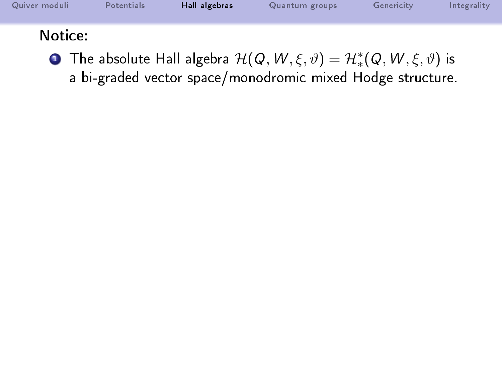| Quiver moduli | Potentials | Hall algebras | Quantum groups | Genericity | Integrality |
|---------------|------------|---------------|----------------|------------|-------------|
| Notice:       |            |               |                |            |             |

**D** The absolute Hall algebra  $\mathcal{H}(\mathcal{Q}, W, \xi, \vartheta) = \mathcal{H}^*_*(\mathcal{Q}, W, \xi, \vartheta)$  is a bi-graded vector space/monodromic mixed Hodge structure.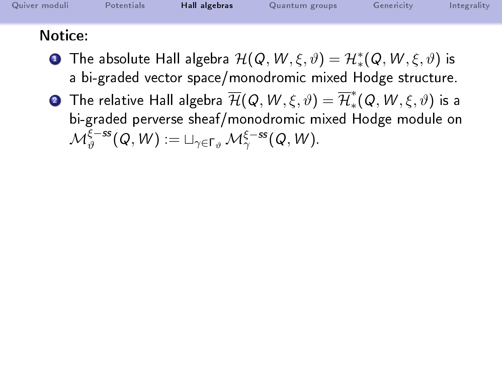| Quiver moduli | Potentials | Hall algebras | Quantum groups | Genericity | Integrality |
|---------------|------------|---------------|----------------|------------|-------------|
| Notice:       |            |               |                |            |             |

- **D** The absolute Hall algebra  $\mathcal{H}(\mathcal{Q}, W, \xi, \vartheta) = \mathcal{H}^*_*(\mathcal{Q}, W, \xi, \vartheta)$  is a bi-graded vector space/monodromic mixed Hodge structure.
- $\bf{2}$  The relative Hall algebra  $\overline{\cal H}({\cal Q},\,W,\xi,\vartheta)=\overline{\cal H}_*^*$  ${}^{\ast}_{\ast}(\mathit{Q},\mathit{W},\xi,\vartheta)$  is a bi-graded perverse sheaf/monodromic mixed Hodge module on  $\mathcal{M}^{\xi-{\rm ss}}_{\vartheta}(Q,W) := \sqcup_{\gamma \in \Gamma_{\vartheta}} \mathcal{M}^{\xi-{\rm ss}}_{\gamma}(Q,W).$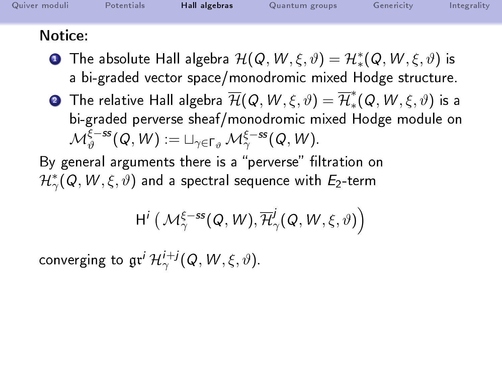| Quiver moduli | Potentials | Hall algebras | Quantum groups | Genericity | Integrality |
|---------------|------------|---------------|----------------|------------|-------------|
| Notice:       |            |               |                |            |             |

- **D** The absolute Hall algebra  $\mathcal{H}(\mathcal{Q}, W, \xi, \vartheta) = \mathcal{H}^*_*(\mathcal{Q}, W, \xi, \vartheta)$  is a bi-graded vector space/monodromic mixed Hodge structure.
- $\bf{2}$  The relative Hall algebra  $\overline{\cal H}({\cal Q},\,W,\xi,\vartheta)=\overline{\cal H}_*^*$  ${}^{\ast}_{\ast}(\mathit{Q},\mathit{W},\xi,\vartheta)$  is a bi-graded perverse sheaf/monodromic mixed Hodge module on  $\mathcal{M}^{\xi-{\rm ss}}_{\vartheta}(Q,W) := \sqcup_{\gamma \in \Gamma_{\vartheta}} \mathcal{M}^{\xi-{\rm ss}}_{\gamma}(Q,W).$

By general arguments there is a "perverse" filtration on  $\mathcal{H}_\gamma^*(\mathsf{Q},\mathsf{W},\xi,\vartheta)$  and a spectral sequence with  $E_2$ -term

$$
\textnormal{H}^i\left(\mathcal{M}_\gamma^{\xi-ss}(Q,W), \overline{\mathcal{H}}^j_\gamma(Q,W,\xi,\vartheta)\right)
$$

converging to  $\mathfrak{gr}^i\,\mathcal{H}^{i+j}_{\gamma}(\mathcal{Q},\mathcal{W},\xi,\vartheta).$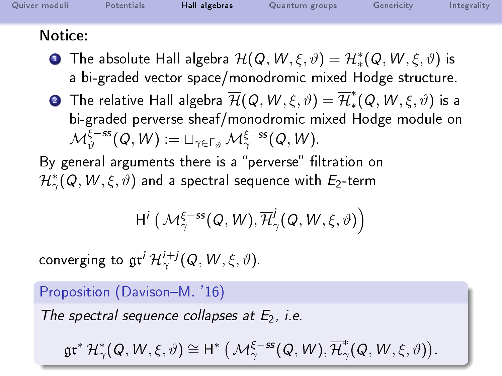| Quiver moduli  | Potentials | Hall algebras | Quantum groups | Genericity | Integrality |
|----------------|------------|---------------|----------------|------------|-------------|
| $N_{\alpha+1}$ |            |               |                |            |             |

- Notice:
	- **D** The absolute Hall algebra  $\mathcal{H}(\mathcal{Q}, W, \xi, \vartheta) = \mathcal{H}^*_*(\mathcal{Q}, W, \xi, \vartheta)$  is a bi-graded vector space/monodromic mixed Hodge structure.
	- $\bf{2}$  The relative Hall algebra  $\overline{\cal H}({\cal Q},\,W,\xi,\vartheta)=\overline{\cal H}_*^*$  ${}^{\ast}_{\ast}(\mathit{Q},\mathit{W},\xi,\vartheta)$  is a bi-graded perverse sheaf/monodromic mixed Hodge module on  $\mathcal{M}^{\xi-{\rm ss}}_{\vartheta}(Q,W) := \sqcup_{\gamma \in \Gamma_{\vartheta}} \mathcal{M}^{\xi-{\rm ss}}_{\gamma}(Q,W).$

By general arguments there is a "perverse" filtration on  $\mathcal{H}_\gamma^*(\mathsf{Q},\mathsf{W},\xi,\vartheta)$  and a spectral sequence with  $E_2$ -term

$$
\textnormal{H}^i\left(\mathcal{M}_\gamma^{\xi-ss}(Q,W), \overline{\mathcal{H}}^j_\gamma(Q,W,\xi,\vartheta)\right)
$$

converging to  $\mathfrak{gr}^i\,\mathcal{H}^{i+j}_{\gamma}(\mathcal{Q},\mathcal{W},\xi,\vartheta).$ 

Proposition (Davison-M. '16)

The spectral sequence collapses at  $E_2$ , i.e.

 $\mathfrak{gr}^*\,\mathcal{H}^*_\gamma(\mathit{Q},\mathit{W},\xi,\vartheta)\cong \mathsf{H}^*\left(\,\mathcal{M}^{\xi-ss}_{\gamma}(\mathit{Q},\mathit{W}),\overline{\mathcal{H}}^*_\gamma\right)$  $_{\gamma}^{\ast}(\mathit{Q},\mathit{W},\xi,\vartheta)).$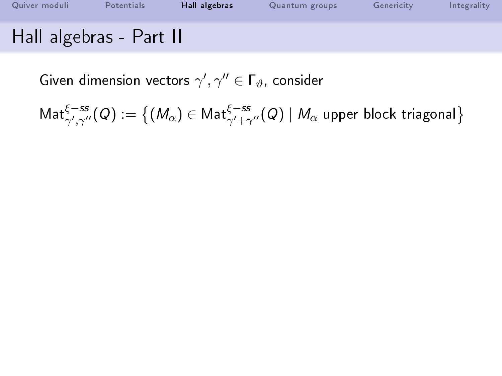| Quiver moduli           | Potentials | Hall algebras | Quantum groups | Genericity | Integrality |
|-------------------------|------------|---------------|----------------|------------|-------------|
| Hall algebras - Part II |            |               |                |            |             |

 $\mathsf{Mat}^{\xi-{\mathsf{ss}}}_{\gamma',\gamma''}(Q) := \big\{ (M_\alpha) \in \mathsf{Mat}^{\xi-{\mathsf{ss}}}_{\gamma'+\gamma''}(Q) \mid M_\alpha$  upper block triagonal $\big\}$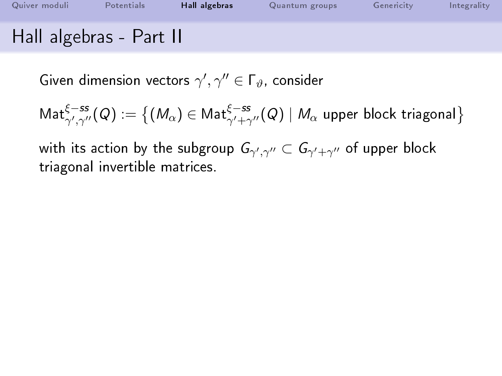| Quiver moduli           | Potentials | Hall algebras | Quantum groups | Genericity | Integrality |
|-------------------------|------------|---------------|----------------|------------|-------------|
| Hall algebras - Part II |            |               |                |            |             |

$$
\mathsf{Mat}^{\xi-ss}_{\gamma',\gamma''}(Q):=\big\{(M_\alpha)\in\mathsf{Mat}^{\xi-ss}_{\gamma'+\gamma''}(Q)\mid M_\alpha \text{ upper block triangonal}\big\}
$$

with its action by the subgroup  $G_{\gamma',\gamma''}\subset G_{\gamma'+\gamma''}$  of upper block triagonal invertible matrices.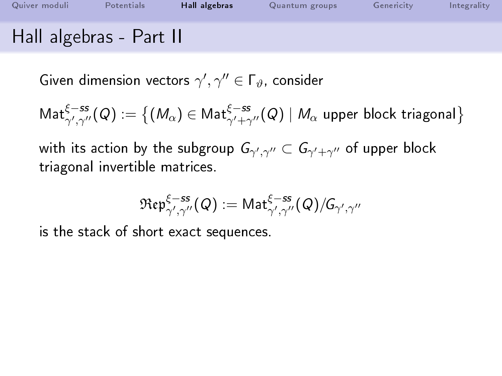| Quiver moduli           | Potentials | Hall algebras | Quantum groups | Genericity | Integrality |
|-------------------------|------------|---------------|----------------|------------|-------------|
| Hall algebras - Part II |            |               |                |            |             |

$$
\mathsf{Mat}^{\xi-ss}_{\gamma',\gamma''}(Q):=\big\{(M_\alpha)\in\mathsf{Mat}^{\xi-ss}_{\gamma'+\gamma''}(Q)\mid M_\alpha \text{ upper block triangonal}\big\}
$$

with its action by the subgroup  $G_{\gamma',\gamma''}\subset G_{\gamma'+\gamma''}$  of upper block triagonal invertible matrices.

$$
\mathfrak{Rep}^{\xi-{\mathit{ss}}}_{\gamma',\gamma''}(Q):=\mathsf{Mat}^{\xi-{\mathit{ss}}}_{\gamma',\gamma''}(Q)/\!\mathsf{G}_{\gamma',\gamma''}
$$

is the stack of short exact sequences.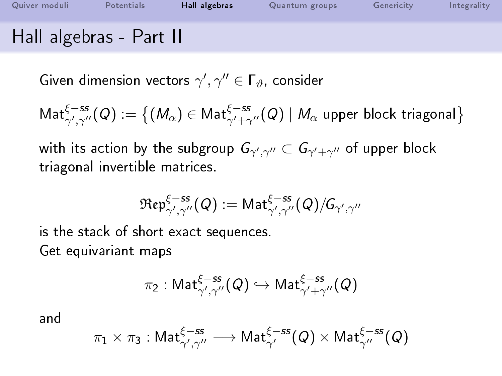| Quiver moduli           | Potentials | Hall algebras | Quantum groups | Genericity | Integrality |
|-------------------------|------------|---------------|----------------|------------|-------------|
| Hall algebras - Part II |            |               |                |            |             |

$$
\mathsf{Mat}^{\xi-ss}_{\gamma',\gamma''}(Q):=\big\{(M_\alpha)\in\mathsf{Mat}^{\xi-ss}_{\gamma'+\gamma''}(Q)\mid M_\alpha \text{ upper block triangonal}\big\}
$$

with its action by the subgroup  $G_{\gamma',\gamma''}\subset G_{\gamma'+\gamma''}$  of upper block triagonal invertible matrices.

$$
\mathfrak{Rep}^{\xi-{\mathit{ss}}}_{\gamma',\gamma''}(Q):=\mathsf{Mat}^{\xi-{\mathit{ss}}}_{\gamma',\gamma''}(Q)/\!\mathsf{G}_{\gamma',\gamma''}
$$

is the stack of short exact sequences. Get equivariant maps

$$
\pi_2: \mathsf{Mat}^{\xi-{\mathsf{ss}}}_{\gamma',\gamma''}(Q) \hookrightarrow \mathsf{Mat}^{\xi-{\mathsf{ss}}}_{\gamma'+\gamma''}(Q)
$$

and

$$
\pi_1\times\pi_3:\mathsf{Mat}^{\xi-{\mathsf{ss}}}_{\gamma',\gamma''}\longrightarrow\mathsf{Mat}^{\xi-{\mathsf{ss}}}_{\gamma'}(Q)\times\mathsf{Mat}^{\xi-{\mathsf{ss}}}_{\gamma''}(Q)
$$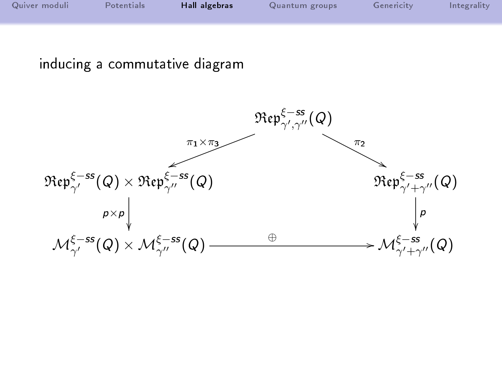| Quiver moduli | Potentials | Hall algebras | Quantum groups | Genericity | Integrality |
|---------------|------------|---------------|----------------|------------|-------------|
|               |            |               |                |            |             |

### inducing a commutative diagram

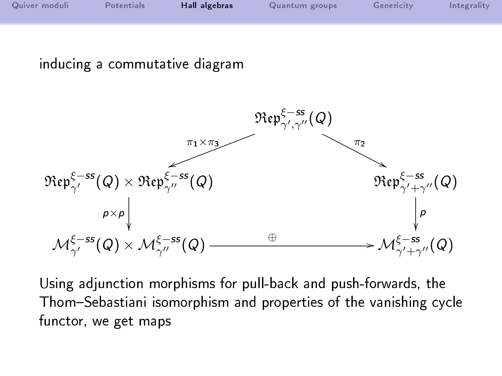| Quiver moduli | Potentials | Hall algebras | Quantum groups | Genericity | Integrality |
|---------------|------------|---------------|----------------|------------|-------------|
|               |            |               |                |            |             |

### inducing a commutative diagram



Using adjunction morphisms for pull-back and push-forwards, the Thom-Sebastiani isomorphism and properties of the vanishing cycle functor, we get maps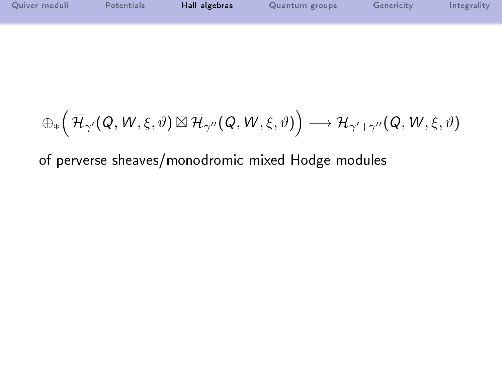| Quiver moduli | Potentials | Hall algebras | Quantum groups | Genericity | Integrality |
|---------------|------------|---------------|----------------|------------|-------------|
|               |            |               |                |            |             |

$$
\oplus_* \Big(\,\overline{\mathcal{H}}_{\gamma'}(\mathcal{Q},\mathcal{W},\xi,\vartheta)\boxtimes\overline{\mathcal{H}}_{\gamma''}(\mathcal{Q},\mathcal{W},\xi,\vartheta)\Big)\longrightarrow \overline{\mathcal{H}}_{\gamma'+\gamma''}(\mathcal{Q},\mathcal{W},\xi,\vartheta)
$$

of perverse sheaves/monodromic mixed Hodge modules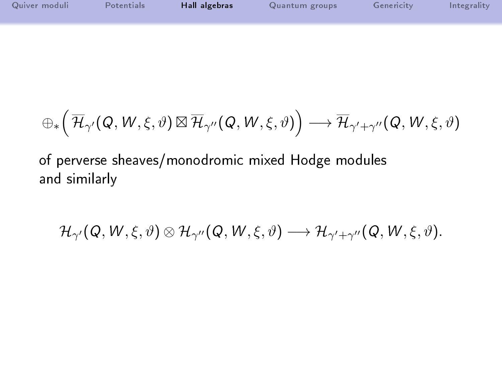| Quiver moduli | Potentials | Hall algebras | Quantum groups | Genericity | Integrality |
|---------------|------------|---------------|----------------|------------|-------------|
|               |            |               |                |            |             |

$$
\oplus_* \Big( \, \overline{\mathcal{H}}_{\gamma'}(\mathcal{Q},\mathcal{W},\xi,\vartheta) \boxtimes \overline{\mathcal{H}}_{\gamma''}(\mathcal{Q},\mathcal{W},\xi,\vartheta) \Big) \longrightarrow \overline{\mathcal{H}}_{\gamma'+\gamma''}(\mathcal{Q},\mathcal{W},\xi,\vartheta)
$$

of perverse sheaves/monodromic mixed Hodge modules and similarly

$$
\mathcal{H}_{\gamma'}(\mathsf{Q},\mathsf{W},\xi,\vartheta)\otimes\mathcal{H}_{\gamma''}(\mathsf{Q},\mathsf{W},\xi,\vartheta)\longrightarrow \mathcal{H}_{\gamma'+\gamma''}(\mathsf{Q},\mathsf{W},\xi,\vartheta).
$$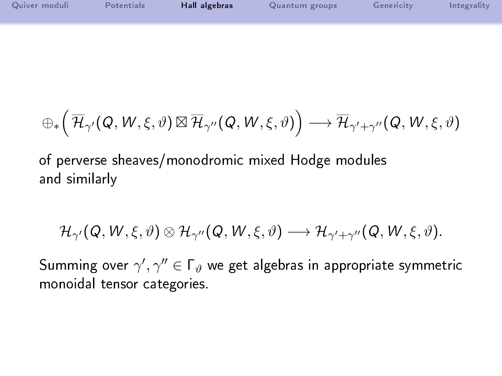| Quiver moduli | <b>Potentials</b> | Hall algebras | Quantum groups | Genericity | Integrality |
|---------------|-------------------|---------------|----------------|------------|-------------|
|               |                   |               |                |            |             |

$$
\oplus_* \Big( \, \overline{\mathcal{H}}_{\gamma'}(\mathcal{Q},\mathcal{W},\xi,\vartheta) \boxtimes \overline{\mathcal{H}}_{\gamma''}(\mathcal{Q},\mathcal{W},\xi,\vartheta) \Big) \longrightarrow \overline{\mathcal{H}}_{\gamma'+\gamma''}(\mathcal{Q},\mathcal{W},\xi,\vartheta)
$$

of perverse sheaves/monodromic mixed Hodge modules and similarly

$$
\mathcal{H}_{\gamma'}(Q,W,\xi,\vartheta)\otimes\mathcal{H}_{\gamma''}(Q,W,\xi,\vartheta)\longrightarrow\mathcal{H}_{\gamma'+\gamma''}(Q,W,\xi,\vartheta).
$$

Summing over  $\gamma',\gamma''\in\mathsf{\Gamma}_\vartheta$  we get algebras in appropriate symmetric monoidal tensor categories.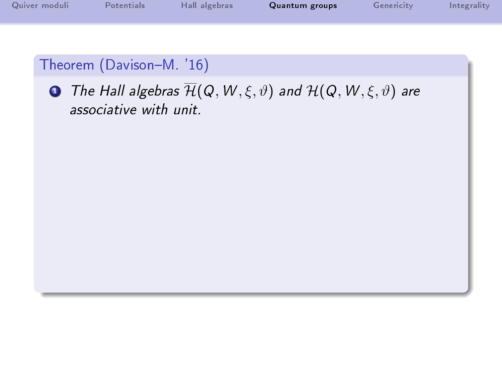| Quiver moduli | Potentials | Hall algebras | Quantum groups | Genericity | Integrality |
|---------------|------------|---------------|----------------|------------|-------------|
|               |            |               |                |            |             |

<span id="page-55-0"></span>**1** The Hall algebras  $\overline{\mathcal{H}}(Q, W, \xi, \vartheta)$  and  $\mathcal{H}(Q, W, \xi, \vartheta)$  are associative with unit.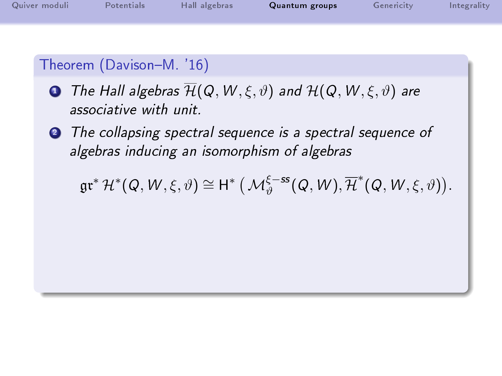| Quiver moduli | Potentials | Hall algebras | Quantum groups | Genericity | Integrality |
|---------------|------------|---------------|----------------|------------|-------------|
|               |            |               |                |            |             |

- **1** The Hall algebras  $\overline{\mathcal{H}}(Q, W, \xi, \vartheta)$  and  $\mathcal{H}(Q, W, \xi, \vartheta)$  are associative with unit.
- **2** The collapsing spectral sequence is a spectral sequence of algebras inducing an isomorphism of algebras

 $\mathfrak{gr}^*\,\mathcal{H}^*(Q,\,W,\xi,\vartheta)\cong \mathsf{H}^*\left(\,\mathcal{M}_{\vartheta}^{\xi-ss}(Q,\,W), \overline{\mathcal{H}}^*(Q,\,W,\xi,\vartheta)\right).$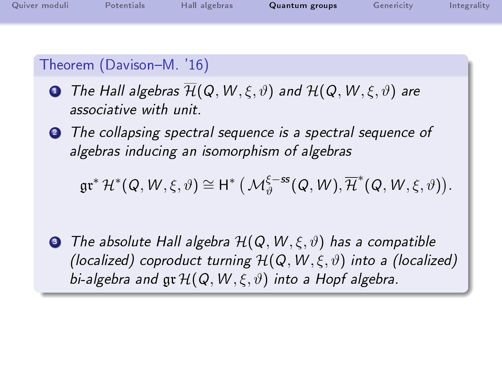| Quiver moduli | Potentials | Hall algebras | Quantum groups | Genericity | Integrality |
|---------------|------------|---------------|----------------|------------|-------------|
|               |            |               |                |            |             |

- **1** The Hall algebras  $\overline{\mathcal{H}}(Q, W, \xi, \vartheta)$  and  $\mathcal{H}(Q, W, \xi, \vartheta)$  are associative with unit.
- **2** The collapsing spectral sequence is a spectral sequence of algebras inducing an isomorphism of algebras

 $\mathfrak{gr}^*\,\mathcal{H}^*(Q,\,W,\xi,\vartheta)\cong \mathsf{H}^*\left(\,\mathcal{M}_{\vartheta}^{\xi-ss}(Q,\,W), \overline{\mathcal{H}}^*(Q,\,W,\xi,\vartheta)\right).$ 

**3** The absolute Hall algebra  $\mathcal{H}(Q, W, \xi, \vartheta)$  has a compatible (localized) coproduct turning  $\mathcal{H}(Q, W, \xi, \vartheta)$  into a (localized) bi-algebra and  $\mathfrak{ar}\mathcal{H}(\mathcal{Q}, W, \xi, \vartheta)$  into a Hopf algebra.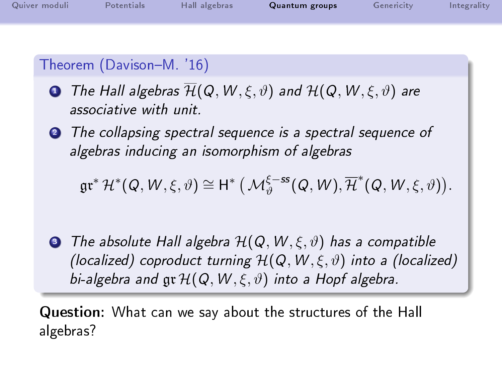| Quiver moduli | Potentials | Hall algebras | Quantum groups | Genericity | Integrality |
|---------------|------------|---------------|----------------|------------|-------------|
|               |            |               |                |            |             |

- **1** The Hall algebras  $\overline{\mathcal{H}}(Q, W, \xi, \vartheta)$  and  $\mathcal{H}(Q, W, \xi, \vartheta)$  are associative with unit.
- **2** The collapsing spectral sequence is a spectral sequence of algebras inducing an isomorphism of algebras

$$
\mathfrak{gr}^*\,\mathcal{H}^*(Q,\,W,\xi,\vartheta)\cong \mathsf{H}^*\,\big(\,\mathcal{M}_\vartheta^{\xi-{\rm ss}}(Q,\,W),\overline{\mathcal{H}}^*(Q,\,W,\xi,\vartheta)\big).
$$

**3** The absolute Hall algebra  $\mathcal{H}(Q, W, \xi, \vartheta)$  has a compatible (localized) coproduct turning  $H(Q, W, \xi, \vartheta)$  into a (localized) bi-algebra and  $\mathfrak{gr}\mathcal{H}(Q,W,\xi,\vartheta)$  into a Hopf algebra.

Question: What can we say about the structures of the Hall algebras?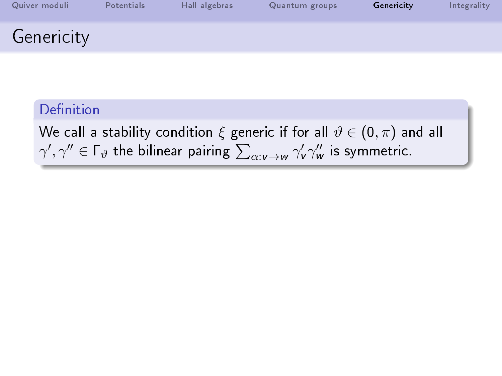| Quiver moduli | Potentials | Hall algebras | Quantum groups | Genericity | Integrality |
|---------------|------------|---------------|----------------|------------|-------------|
| Genericity    |            |               |                |            |             |

<span id="page-59-0"></span>We call a stability condition  $\xi$  generic if for all  $\vartheta \in (0, \pi)$  and all  $\gamma',\gamma''\in\Gamma_\vartheta$  the bilinear pairing  $\sum_{\alpha:\nu\to w}\gamma'_\nu\gamma''_\omega$  is symmetric.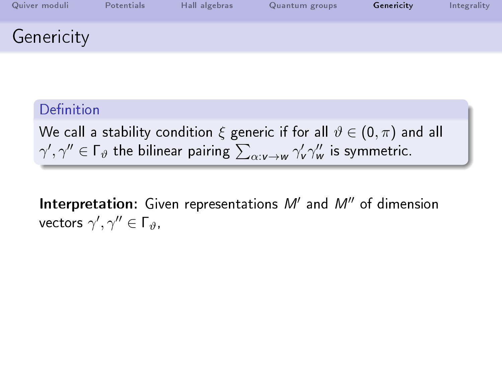| Quiver moduli | Potentials | Hall algebras | Quantum groups | Genericity | Integrality |
|---------------|------------|---------------|----------------|------------|-------------|
| Genericity    |            |               |                |            |             |

We call a stability condition  $\xi$  generic if for all  $\vartheta \in (0, \pi)$  and all  $\gamma',\gamma''\in\Gamma_\vartheta$  the bilinear pairing  $\sum_{\alpha:\nu\to w}\gamma'_\nu\gamma''_\omega$  is symmetric.

Interpretation: Given representations  $M'$  and  $M''$  of dimension vectors  $\gamma',\gamma''\in\mathsf{\Gamma}_{\vartheta}$ ,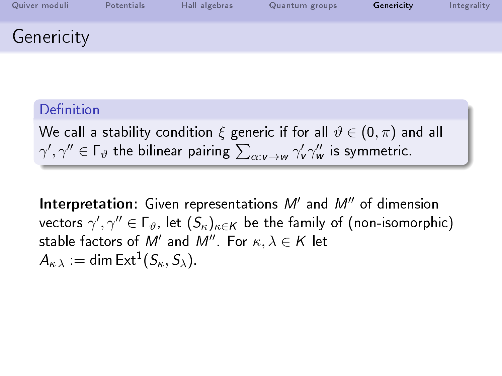| Quiver moduli | Potentials | Hall algebras | Quantum groups | Genericity | Integrality |
|---------------|------------|---------------|----------------|------------|-------------|
| Genericity    |            |               |                |            |             |

We call a stability condition  $\xi$  generic if for all  $\vartheta \in (0, \pi)$  and all  $\gamma',\gamma''\in\Gamma_\vartheta$  the bilinear pairing  $\sum_{\alpha:\nu\to w}\gamma'_\nu\gamma''_\omega$  is symmetric.

Interpretation: Given representations  $M'$  and  $M''$  of dimension vectors  $\gamma',\gamma''\in\Gamma_\vartheta$ , let  $(\mathcal{S}_\kappa)_{\kappa\in\mathsf{K}}$  be the family of (non-isomorphic) stable factors of  $M'$  and  $M''$ . For  $\kappa, \lambda \in K$  let  $A_{\kappa\,\lambda}:=\mathsf{dim}\,\mathsf{Ext}^1(\mathsf{S}_\kappa,\mathsf{S}_\lambda).$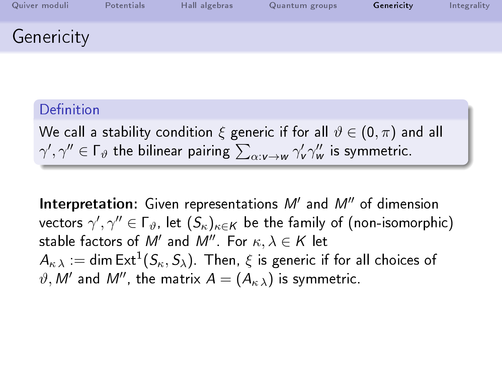| Quiver moduli | Potentials | Hall algebras | Quantum groups | Genericity | Integrality |
|---------------|------------|---------------|----------------|------------|-------------|
| Genericity    |            |               |                |            |             |

We call a stability condition  $\xi$  generic if for all  $\vartheta \in (0, \pi)$  and all  $\gamma',\gamma''\in\Gamma_\vartheta$  the bilinear pairing  $\sum_{\alpha:\nu\to w}\gamma'_\nu\gamma''_\omega$  is symmetric.

Interpretation: Given representations  $M'$  and  $M''$  of dimension vectors  $\gamma',\gamma''\in\Gamma_\vartheta$ , let  $(\mathcal{S}_\kappa)_{\kappa\in\mathsf{K}}$  be the family of (non-isomorphic) stable factors of  $M'$  and  $M''$ . For  $\kappa, \lambda \in K$  let  $A_{\kappa\,\lambda}:=\mathsf{dim}\,\mathsf{Ext}^1(\mathcal{S}_\kappa,\mathcal{S}_\lambda)$ . Then,  $\xi$  is generic if for all choices of  $\vartheta ,$   $M'$  and  $M'',$  the matrix  $A = (A_{\kappa \; \lambda})$  is symmetric.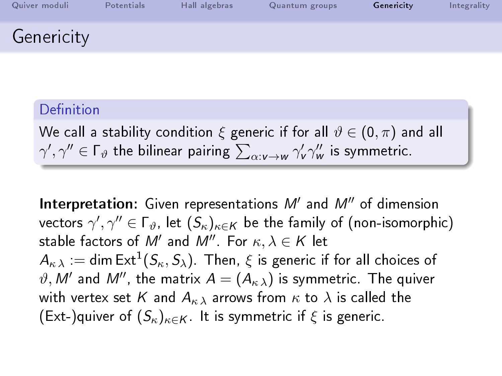| Quiver moduli | Potentials | Hall algebras | Quantum groups | Genericity | Integrality |
|---------------|------------|---------------|----------------|------------|-------------|
| Genericity    |            |               |                |            |             |

We call a stability condition  $\xi$  generic if for all  $\vartheta \in (0, \pi)$  and all  $\gamma',\gamma''\in\Gamma_\vartheta$  the bilinear pairing  $\sum_{\alpha:\nu\to w}\gamma'_\nu\gamma''_\omega$  is symmetric.

Interpretation: Given representations  $M'$  and  $M''$  of dimension vectors  $\gamma',\gamma''\in\Gamma_\vartheta$ , let  $(\mathcal{S}_\kappa)_{\kappa\in\mathsf{K}}$  be the family of (non-isomorphic) stable factors of  $M'$  and  $M''$ . For  $\kappa, \lambda \in K$  let  $A_{\kappa\,\lambda}:=\mathsf{dim}\,\mathsf{Ext}^1(\mathcal{S}_\kappa,\mathcal{S}_\lambda)$ . Then,  $\xi$  is generic if for all choices of  $\vartheta ,$   $\mathcal{M}^{\prime }$  and  $\mathcal{M}^{\prime \prime },$  the matrix  $\mathcal{A}=(\mathcal{A}_{\kappa \ \lambda })$  is symmetric. The quiver with vertex set K and  $A_{\kappa,\lambda}$  arrows from  $\kappa$  to  $\lambda$  is called the  $(Ext-)$ quiver of  $(S_{\kappa})_{\kappa \in K}$ . It is symmetric if  $\xi$  is generic.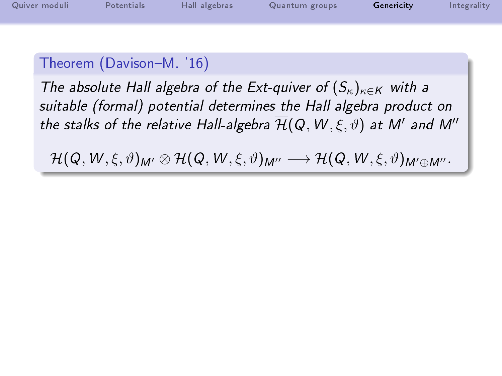| Quiver moduli | Potentials | Hall algebras | Quantum groups | Genericity | Integrality |
|---------------|------------|---------------|----------------|------------|-------------|
|               |            |               |                |            |             |

The absolute Hall algebra of the Ext-quiver of  $(S_{\kappa})_{\kappa \in K}$  with a suitable (formal) potential determines the Hall algebra product on the stalks of the relative Hall-algebra  $\overline{\mathcal{H}}(\mathsf{Q},\mathsf{W},\xi,\vartheta)$  at  $\mathsf{M}'$  and  $\mathsf{M}''$ 

 $\overline{\mathcal{H}}(Q, W, \xi, \vartheta)_{M'} \otimes \overline{\mathcal{H}}(Q, W, \xi, \vartheta)_{M''} \longrightarrow \overline{\mathcal{H}}(Q, W, \xi, \vartheta)_{M' \oplus M''}.$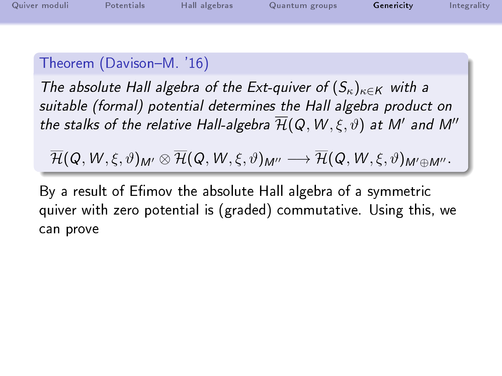| Quiver moduli | Potentials | Hall algebras | Quantum groups | Genericity | Integrality |
|---------------|------------|---------------|----------------|------------|-------------|
|               |            |               |                |            |             |

The absolute Hall algebra of the Ext-quiver of  $(S_{\kappa})_{\kappa \in K}$  with a suitable (formal) potential determines the Hall algebra product on the stalks of the relative Hall-algebra  $\overline{\mathcal{H}}(\mathsf{Q},\mathsf{W},\xi,\vartheta)$  at  $\mathsf{M}'$  and  $\mathsf{M}''$ 

 $\overline{\mathcal{H}}(Q, W, \xi, \vartheta)_{M'} \otimes \overline{\mathcal{H}}(Q, W, \xi, \vartheta)_{M''} \longrightarrow \overline{\mathcal{H}}(Q, W, \xi, \vartheta)_{M' \oplus M''}.$ 

By a result of Efimov the absolute Hall algebra of a symmetric quiver with zero potential is (graded) commutative. Using this, we can prove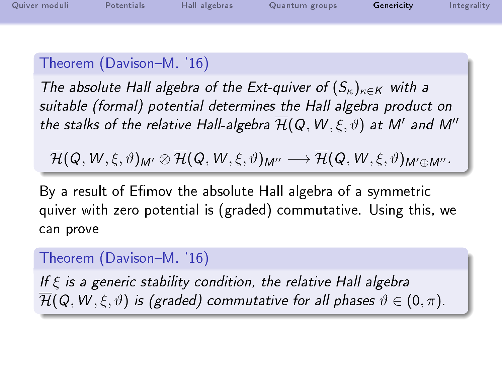| Quiver moduli | Potentials | Hall algebras | Quantum groups | Genericity | Integrality |
|---------------|------------|---------------|----------------|------------|-------------|
|               |            |               |                |            |             |

The absolute Hall algebra of the Ext-quiver of  $(S_{\kappa})_{\kappa \in K}$  with a suitable (formal) potential determines the Hall algebra product on the stalks of the relative Hall-algebra  $\overline{\mathcal{H}}(\mathsf{Q},\mathsf{W},\xi,\vartheta)$  at  $\mathsf{M}'$  and  $\mathsf{M}''$ 

 $\overline{\mathcal{H}}(Q, W, \xi, \vartheta)_{M'} \otimes \overline{\mathcal{H}}(Q, W, \xi, \vartheta)_{M''} \longrightarrow \overline{\mathcal{H}}(Q, W, \xi, \vartheta)_{M' \oplus M''}.$ 

By a result of Efimov the absolute Hall algebra of a symmetric quiver with zero potential is (graded) commutative. Using this, we can prove

#### Theorem (Davison-M. '16)

If  $\xi$  is a generic stability condition, the relative Hall algebra  $\overline{\mathcal{H}}(\mathsf{Q},\mathsf{W},\xi,\vartheta)$  is (graded) commutative for all phases  $\vartheta\in(0,\pi).$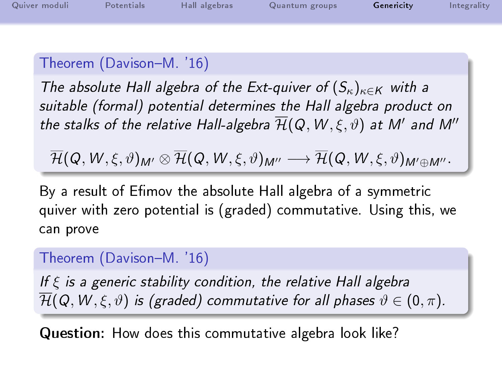| Quiver moduli | Potentials | Hall algebras | Quantum groups | Genericity | Integrality |
|---------------|------------|---------------|----------------|------------|-------------|
|               |            |               |                |            |             |

The absolute Hall algebra of the Ext-quiver of  $(S_{\kappa})_{\kappa \in K}$  with a suitable (formal) potential determines the Hall algebra product on the stalks of the relative Hall-algebra  $\overline{\mathcal{H}}(\mathsf{Q},\mathsf{W},\xi,\vartheta)$  at  $\mathsf{M}'$  and  $\mathsf{M}''$ 

 $\overline{\mathcal{H}}(Q, W, \xi, \vartheta)_{M'} \otimes \overline{\mathcal{H}}(Q, W, \xi, \vartheta)_{M''} \longrightarrow \overline{\mathcal{H}}(Q, W, \xi, \vartheta)_{M' \oplus M''}.$ 

By a result of Efimov the absolute Hall algebra of a symmetric quiver with zero potential is (graded) commutative. Using this, we can prove

#### Theorem (Davison-M. '16)

If  $\xi$  is a generic stability condition, the relative Hall algebra  $\overline{\mathcal{H}}(Q, W, \xi, \vartheta)$  is (graded) commutative for all phases  $\vartheta \in (0, \pi)$ .

Question: How does this commutative algebra look like?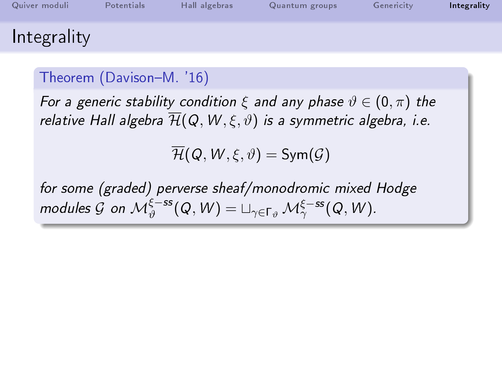| Quiver moduli | Potentials | Hall algebras | Quantum groups | Genericity | Integrality |
|---------------|------------|---------------|----------------|------------|-------------|
| Integrality   |            |               |                |            |             |

For a generic stability condition  $\xi$  and any phase  $\vartheta \in (0, \pi)$  the relative Hall algebra  $\overline{\mathcal{H}}(Q, W, \xi, \vartheta)$  is a symmetric algebra, i.e.

 $\mathcal{H}(\mathcal{Q}, W, \xi, \vartheta) = \mathsf{Sym}(\mathcal{G})$ 

<span id="page-68-0"></span>for some (graded) perverse sheaf/monodromic mixed Hodge modules  $\mathcal G$  on  $\mathcal M_\vartheta^{\xi-{\rm ss}}(Q,W)=\sqcup_{\gamma\in\Gamma_\vartheta}\mathcal M_\gamma^{\xi-{\rm ss}}(Q,W).$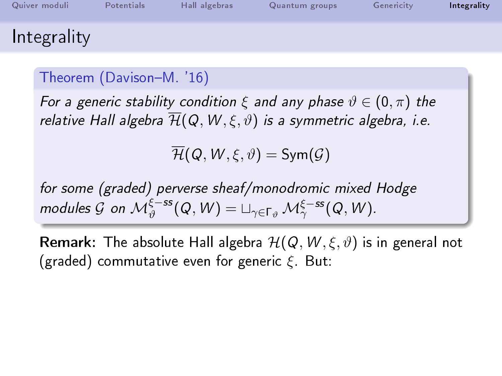| Quiver moduli | Potentials | Hall algebras | Quantum groups | Genericity | Integrality |
|---------------|------------|---------------|----------------|------------|-------------|
| Integrality   |            |               |                |            |             |

For a generic stability condition  $\xi$  and any phase  $\vartheta \in (0, \pi)$  the relative Hall algebra  $\overline{\mathcal{H}}(Q, W, \xi, \vartheta)$  is a symmetric algebra, i.e.

 $\overline{\mathcal{H}}(\mathcal{Q}, W, \xi, \vartheta) = \mathsf{Sym}(\mathcal{G})$ 

for some (graded) perverse sheaf/monodromic mixed Hodge modules  $\mathcal G$  on  $\mathcal M_\vartheta^{\xi-{\rm ss}}(Q,W)=\sqcup_{\gamma\in\Gamma_\vartheta}\mathcal M_\gamma^{\xi-{\rm ss}}(Q,W).$ 

**Remark:** The absolute Hall algebra  $\mathcal{H}(Q, W, \xi, \vartheta)$  is in general not (graded) commutative even for generic  $\xi$ . But: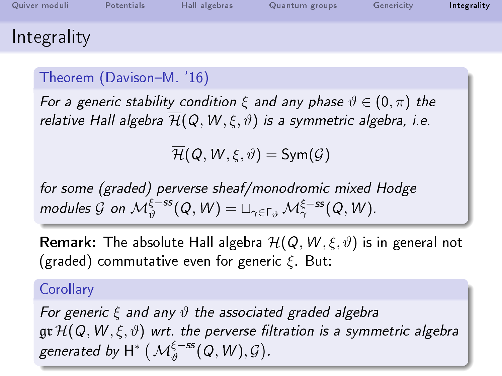| Quiver moduli | Potentials | Hall algebras | Quantum groups | Genericity | Integrality |
|---------------|------------|---------------|----------------|------------|-------------|
| Integrality   |            |               |                |            |             |

For a generic stability condition  $\xi$  and any phase  $\vartheta \in (0, \pi)$  the relative Hall algebra  $\overline{\mathcal{H}}(Q, W, \xi, \vartheta)$  is a symmetric algebra, i.e.

 $\mathcal{H}(\mathcal{Q}, W, \xi, \vartheta) = \mathsf{Sym}(\mathcal{G})$ 

for some (graded) perverse sheaf/monodromic mixed Hodge modules  $\mathcal G$  on  $\mathcal M_\vartheta^{\xi-{\rm ss}}(Q,W)=\sqcup_{\gamma\in\Gamma_\vartheta}\mathcal M_\gamma^{\xi-{\rm ss}}(Q,W).$ 

**Remark:** The absolute Hall algebra  $\mathcal{H}(Q, W, \xi, \vartheta)$  is in general not (graded) commutative even for generic  $\xi$ . But:

#### **Corollary**

For generic  $\xi$  and any  $\vartheta$  the associated graded algebra  $\mathfrak{gr}\, \mathcal{H}(\mathsf{Q},\mathsf{W},\xi,\vartheta)$  wrt. the perverse filtration is a symmetric algebra generated by  $\mathsf{H}^{*}\left(\mathcal{M}_{\vartheta}^{\xi-ss}(Q,W),\mathcal{G}\right)$ .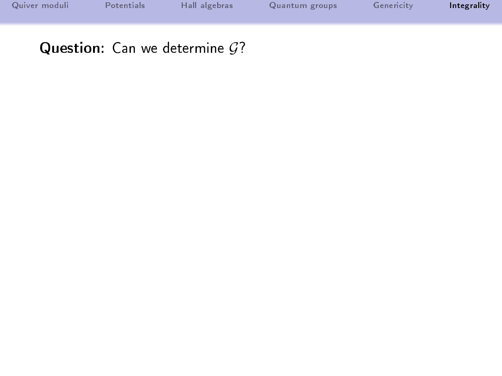| Quiver moduli | Potentials | Hall algebras | Quantum groups | Genericity | Integrality |
|---------------|------------|---------------|----------------|------------|-------------|
|               |            |               |                |            |             |
|               |            |               |                |            |             |
|               |            |               |                |            |             |

Question: Can we determine  $G$ ?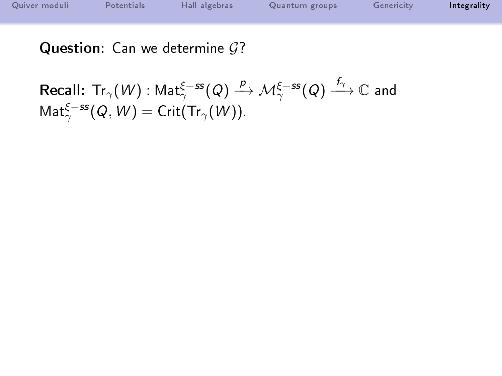| Quiver moduli | Potentials | Hall algebras | Quantum groups | Genericity | Integrality |
|---------------|------------|---------------|----------------|------------|-------------|
|               |            |               |                |            |             |
|               |            |               |                |            |             |
|               |            |               |                |            |             |
|               |            |               |                |            |             |

Question: Can we determine  $G$ ?

Recall: 
$$
\text{Tr}_{\gamma}(W) : \text{Mat}_{\gamma}^{\xi-ss}(Q) \xrightarrow{p} \mathcal{M}_{\gamma}^{\xi-ss}(Q) \xrightarrow{f_{\gamma}} \mathbb{C}
$$
 and  $\text{Mat}_{\gamma}^{\xi-ss}(Q, W) = \text{Crit}(\text{Tr}_{\gamma}(W)).$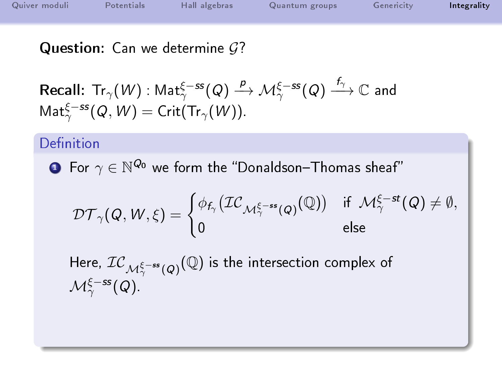| Quiver moduli | Potentials | Hall algebras | Quantum groups | Genericity | Integrality |
|---------------|------------|---------------|----------------|------------|-------------|
|               |            |               |                |            |             |
|               |            |               |                |            |             |

Question: Can we determine  $G$ ?

Recall: 
$$
\text{Tr}_{\gamma}(W) : \text{Mat}_{\gamma}^{\xi-ss}(Q) \xrightarrow{p} \mathcal{M}_{\gamma}^{\xi-ss}(Q) \xrightarrow{f_{\gamma}} \mathbb{C}
$$
 and  $\text{Mat}_{\gamma}^{\xi-ss}(Q, W) = \text{Crit}(\text{Tr}_{\gamma}(W)).$ 

## Definition

 $\textbf{D}$  For  $\gamma\in\mathbb{N}^{\mathcal{Q}_0}$  we form the "Donaldson–Thomas sheaf"

$$
\mathcal{DT}_{\gamma}(Q,W,\xi)=\begin{cases} \phi_{f_{\gamma}}\big(\mathcal{IC}_{\mathcal{M}_{\gamma}^{\xi-ss}(Q)}(\mathbb{Q})\big) & \text{if} \;\; \mathcal{M}_{\gamma}^{\xi-st}(Q)\neq \emptyset, \\ 0 & \text{else} \end{cases}
$$

Here,  $\mathcal{IC}_{\mathcal{M}_\gamma^{\xi-ss}(Q)}(\mathbb{Q})$  is the intersection complex of  $\mathcal{M}_\gamma^{\xi-ss}(Q)$  .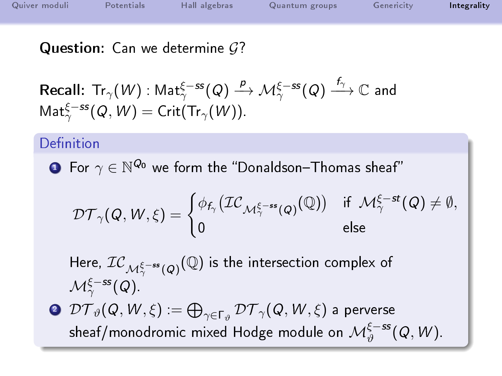| Quiver moduli | Potentials | Hall algebras | Quantum groups | Genericity | Integrality |
|---------------|------------|---------------|----------------|------------|-------------|
|               |            |               |                |            |             |
|               |            |               |                |            |             |

Question: Can we determine  $\mathcal{G}$ ?

Recall: 
$$
\text{Tr}_{\gamma}(W) : \text{Mat}_{\gamma}^{\xi-ss}(Q) \xrightarrow{p} \mathcal{M}_{\gamma}^{\xi-ss}(Q) \xrightarrow{f_{\gamma}} \mathbb{C}
$$
 and  $\text{Mat}_{\gamma}^{\xi-ss}(Q, W) = \text{Crit}(\text{Tr}_{\gamma}(W)).$ 

#### Definition

 $\textbf{D}$  For  $\gamma\in\mathbb{N}^{\mathcal{Q}_0}$  we form the "Donaldson–Thomas sheaf"

$$
\mathcal{DT}_{\gamma}(\mathit{Q},\mathit{W},\xi)=\begin{cases} \phi_{f_{\gamma}}\big(\mathcal{IC}_{\mathcal{M}_{\gamma}^{\xi-ss}(\mathit{Q})}(\mathbb{Q})\big) & \text{if} \;\; \mathcal{M}_{\gamma}^{\xi-st}(\mathit{Q})\neq \emptyset, \\ 0 & \text{else} \end{cases}
$$

Here,  $\mathcal{IC}_{\mathcal{M}_\gamma^{\xi-ss}(Q)}(\mathbb{Q})$  is the intersection complex of  $\mathcal{M}_\gamma^{\xi-ss}(Q)$  .

 $\bm{\mathcal{D}\mathcal{T}}_\vartheta(\mathsf{Q},\bm{\mathcal{W}},\bm{\xi}) := \bigoplus_{\gamma\in\Gamma_\vartheta} \bm{\mathcal{D}\mathcal{T}}_\gamma(\mathsf{Q},\bm{\mathcal{W}},\bm{\xi})$  a perverse sheaf/monodromic mixed Hodge module on  $\mathcal{M}_\vartheta^{\xi-{\rm ss}}(Q,W).$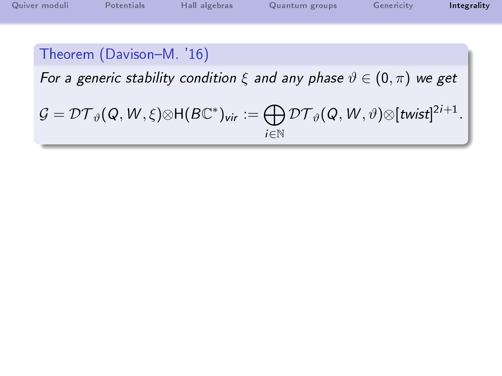| Quiver moduli | Potentials               | Hall algebras | Quantum groups                                                                        | Genericity | Integrality |
|---------------|--------------------------|---------------|---------------------------------------------------------------------------------------|------------|-------------|
|               |                          |               |                                                                                       |            |             |
|               | Theorem (Davison-M. '16) |               |                                                                                       |            |             |
|               |                          |               | For a generic stability condition $\xi$ and any phase $\vartheta \in (0, \pi)$ we get |            |             |

$$
\mathcal{G}=\mathcal{DT}_{\vartheta}(Q,W,\xi)\otimes \mathsf{H}(B\mathbb{C}^*)_{\mathsf{vir}}:=\bigoplus_{i\in\mathbb{N}}\mathcal{DT}_{\vartheta}(Q,W,\vartheta)\otimes [\mathsf{twist}]^{2i+1}.
$$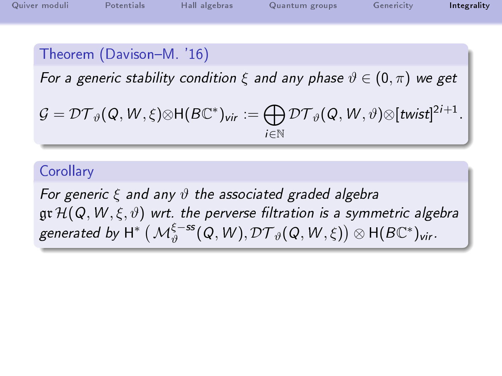| Quiver moduli | Potentials | Hall algebras | Quantum groups | Genericity | Integrality |
|---------------|------------|---------------|----------------|------------|-------------|
|               |            |               |                |            |             |

# Theorem (Davison-M. '16)

For a generic stability condition  $\xi$  and any phase  $\vartheta \in (0, \pi)$  we get

$$
\mathcal{G}=\mathcal{DT}_{\vartheta}(Q,W,\xi)\otimes \mathsf{H}(B\mathbb{C}^*)_{\mathsf{vir}}:=\bigoplus_{i\in\mathbb{N}}\mathcal{DT}_{\vartheta}(Q,W,\vartheta)\otimes[\mathsf{twist}]^{2i+1}.
$$

### **Corollary**

For generic  $\xi$  and any  $\vartheta$  the associated graded algebra  $\mathfrak{gr}\, \mathcal H(Q, W, \xi, \vartheta)$  wrt. the perverse filtration is a symmetric algebra generated by  $\mathsf{H}^{*}\left(\mathcal{M}_{\vartheta}^{\xi-ss}(Q,\mathsf{W}),\mathcal{DT}_{\vartheta}(Q,\mathsf{W},\xi)\right) \otimes \mathsf{H}(B\mathbb{C}^{*})_{\mathsf{vir}}.$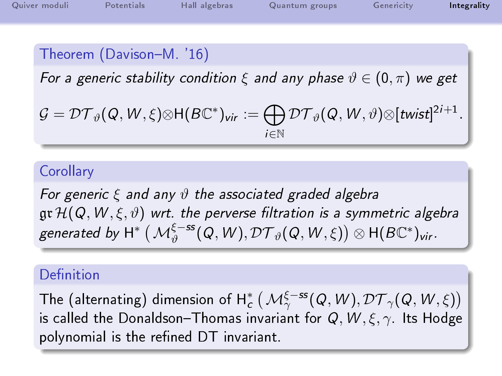| Quiver moduli | Potentials | Hall algebras | Quantum groups | Genericity | Integrality |
|---------------|------------|---------------|----------------|------------|-------------|
|               |            |               |                |            |             |

# Theorem (Davison-M. '16)

For a generic stability condition  $\xi$  and any phase  $\vartheta \in (0, \pi)$  we get

$$
\mathcal{G}=\mathcal{DT}_{\vartheta}(Q,W,\xi)\otimes H(B\mathbb{C}^*)_{\text{vir}}:=\bigoplus_{i\in\mathbb{N}}\mathcal{DT}_{\vartheta}(Q,W,\vartheta)\otimes[\text{twist}]^{2i+1}.
$$

#### **Corollary**

For generic  $\xi$  and any  $\vartheta$  the associated graded algebra  $\mathfrak{gr}\,\mathcal{H}(\mathit{Q},\mathit{W},\xi,\vartheta)$  wrt. the perverse filtration is a symmetric algebra generated by  $\mathsf{H}^{*}\left(\mathcal{M}_{\vartheta}^{\xi-ss}(Q,\mathsf{W}),\mathcal{DT}_{\vartheta}(Q,\mathsf{W},\xi)\right) \otimes \mathsf{H}(B\mathbb{C}^{*})_{\mathsf{vir}}.$ 

## Definition

The (alternating) dimension of  $\mathsf{H}^*_c\left(\mathcal{M}_\gamma^{\xi-ss}(Q,W),\mathcal{DT}_\gamma(Q,W,\xi)\right)$ is called the Donaldson-Thomas invariant for  $Q, W, \xi, \gamma$ . Its Hodge polynomial is the refined DT invariant.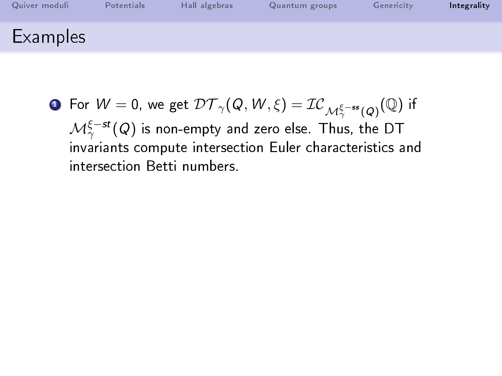| Quiver moduli | Potentials | Hall algebras | Quantum groups | Genericity | Integrality |
|---------------|------------|---------------|----------------|------------|-------------|
| Examples      |            |               |                |            |             |

**D** For 
$$
W = 0
$$
, we get  $\mathcal{DT}_{\gamma}(Q, W, \xi) = \mathcal{IC}_{\mathcal{M}^{\xi-\text{ss}}_{\gamma}(Q)}(\mathbb{Q})$  if  $\mathcal{M}^{\xi-\text{st}}_{\gamma}(Q)$  is non-empty and zero else. Thus, the DT invariants compute intersection Euler characteristics and intersection Betti numbers.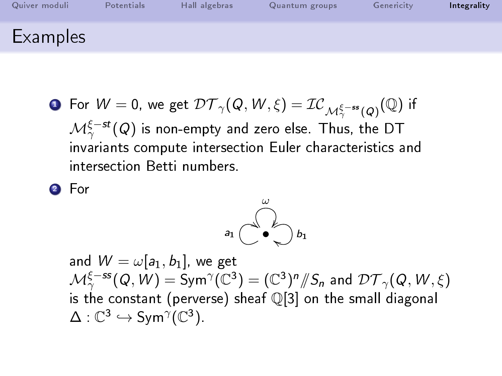| Quiver moduli   | Potentials | Hall algebras | Quantum groups | Genericity | Integrality |
|-----------------|------------|---------------|----------------|------------|-------------|
| <b>Examples</b> |            |               |                |            |             |

 ${\bf D}$  For  $W=0$ , we get  $\mathcal{DT}_{\gamma}(Q,W,\xi)=\mathcal{IC}_{\mathcal{M}_\gamma^{\xi-ss}(Q)}(\mathbb{Q})$  if  $\mathcal{M}_\gamma^{\xi-st}(Q)$  is non-empty and zero else. Thus, the DT invariants compute intersection Euler characteristics and intersection Betti numbers.

<sup>2</sup> For



and  $W = \omega[a_1, b_1]$ , we get  $\mathcal{M}^{\xi-ss}_\gamma(\mathcal{Q},\dot{W})=\operatorname{Sym}^\gamma(\mathbb{C}^3)=(\mathbb{C}^3)^n/\!\!/ S_n$  and  $\mathcal{DT}_\gamma(\mathcal{Q},W,\xi)$ is the constant (perverse) sheaf Q[3] on the small diagonal  $\Delta: \mathbb{C}^3 \hookrightarrow \mathsf{Sym}^{\gamma}(\mathbb{C}^3)$